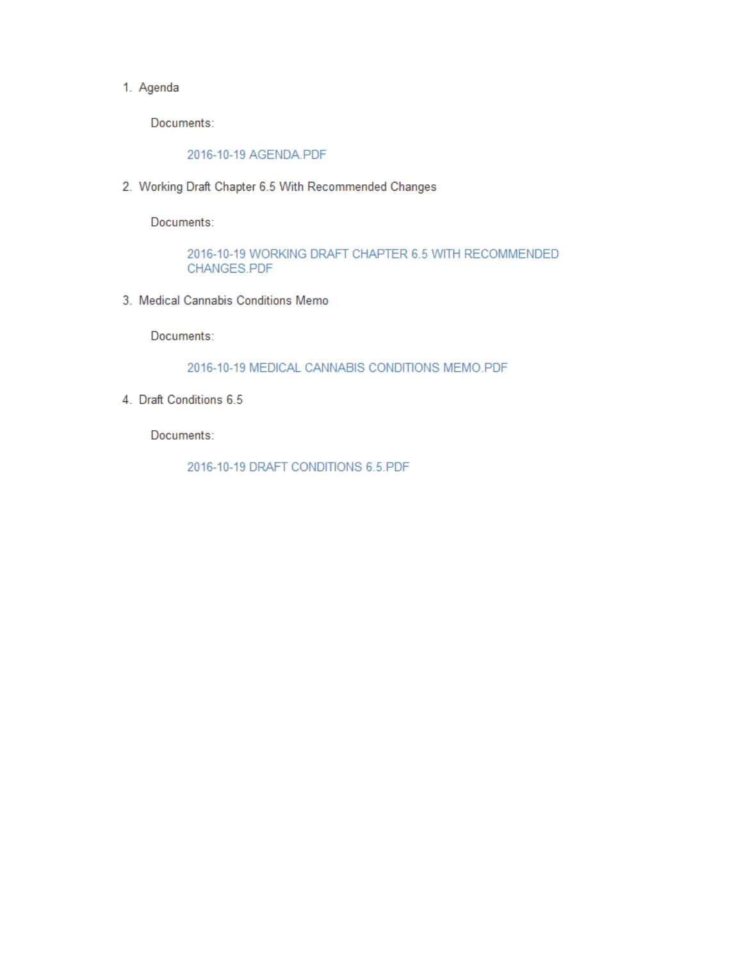#### 1. Agenda

Documents:

2016-10-19 AGENDA.PDF

2. Working Draft Chapter 6.5 With Recommended Changes

Documents:

2016-10-19 WORKING DRAFT CHAPTER 6.5 WITH RECOMMENDED CHANGES.PDF

3. Medical Cannabis Conditions Memo

Documents:

2016-10-19 MEDICAL CANNABIS CONDITIONS MEMO.PDF

4. Draft Conditions 6.5

Documents:

2016-10-19 DRAFT CONDITIONS 6.5.PDF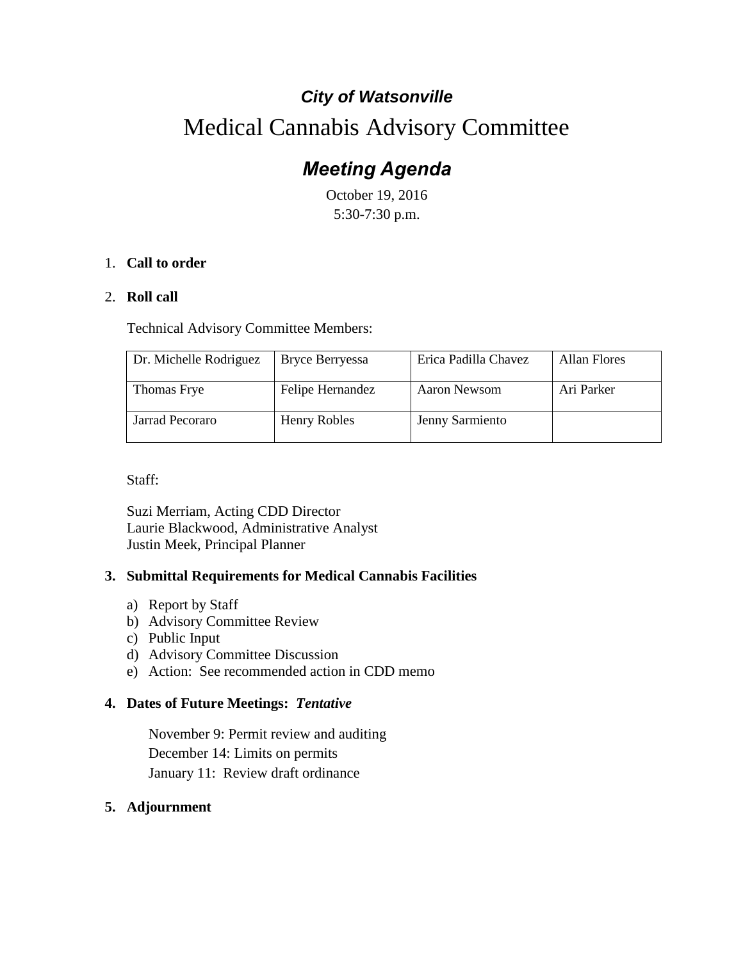# *City of Watsonville*

# Medical Cannabis Advisory Committee

# *Meeting Agenda*

October 19, 2016 5:30-7:30 p.m.

## 1. **Call to order**

## 2. **Roll call**

Technical Advisory Committee Members:

| Dr. Michelle Rodriguez | <b>Bryce Berryessa</b> | Erica Padilla Chavez | Allan Flores |
|------------------------|------------------------|----------------------|--------------|
| Thomas Frye            | Felipe Hernandez       | Aaron Newsom         | Ari Parker   |
| Jarrad Pecoraro        | <b>Henry Robles</b>    | Jenny Sarmiento      |              |

Staff:

Suzi Merriam, Acting CDD Director Laurie Blackwood, Administrative Analyst Justin Meek, Principal Planner

## **3. Submittal Requirements for Medical Cannabis Facilities**

- a) Report by Staff
- b) Advisory Committee Review
- c) Public Input
- d) Advisory Committee Discussion
- e) Action: See recommended action in CDD memo

## **4. Dates of Future Meetings:** *Tentative*

November 9: Permit review and auditing December 14: Limits on permits January 11: Review draft ordinance

## **5. Adjournment**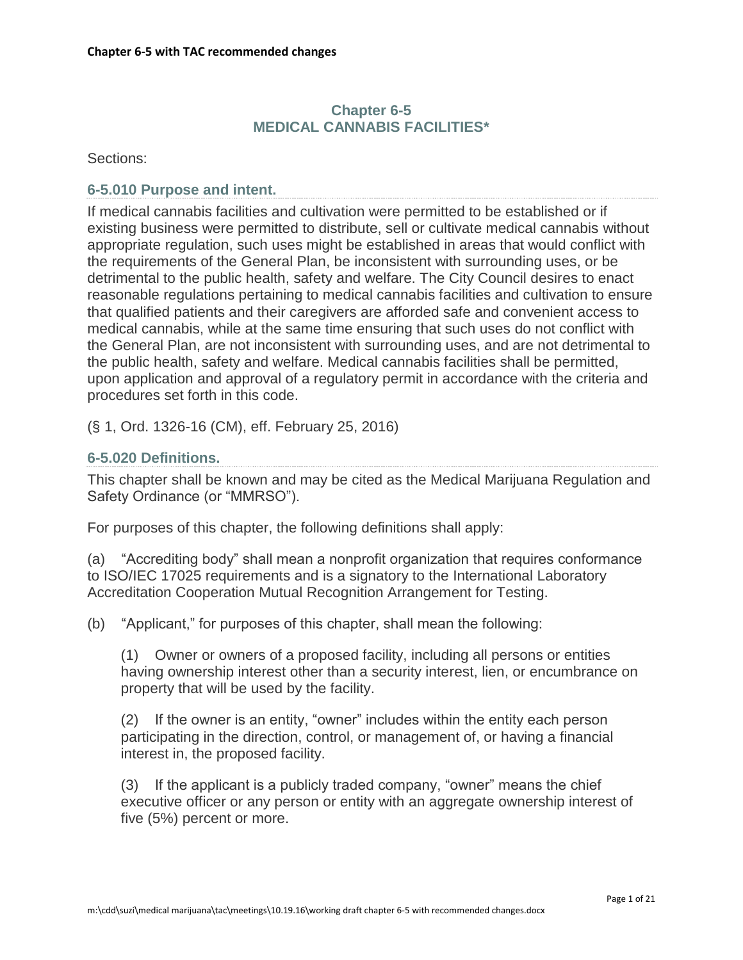## **Chapter 6-5 MEDICAL CANNABIS FACILITIES\***

Sections:

#### **6-5.010 Purpose and intent.**

If medical cannabis facilities and cultivation were permitted to be established or if existing business were permitted to distribute, sell or cultivate medical cannabis without appropriate regulation, such uses might be established in areas that would conflict with the requirements of the General Plan, be inconsistent with surrounding uses, or be detrimental to the public health, safety and welfare. The City Council desires to enact reasonable regulations pertaining to medical cannabis facilities and cultivation to ensure that qualified patients and their caregivers are afforded safe and convenient access to medical cannabis, while at the same time ensuring that such uses do not conflict with the General Plan, are not inconsistent with surrounding uses, and are not detrimental to the public health, safety and welfare. Medical cannabis facilities shall be permitted, upon application and approval of a regulatory permit in accordance with the criteria and procedures set forth in this code.

(§ 1, Ord. 1326-16 (CM), eff. February 25, 2016)

## **6-5.020 Definitions.**

This chapter shall be known and may be cited as the Medical Marijuana Regulation and Safety Ordinance (or "MMRSO").

For purposes of this chapter, the following definitions shall apply:

(a) "Accrediting body" shall mean a nonprofit organization that requires conformance to ISO/IEC 17025 requirements and is a signatory to the International Laboratory Accreditation Cooperation Mutual Recognition Arrangement for Testing.

(b) "Applicant," for purposes of this chapter, shall mean the following:

(1) Owner or owners of a proposed facility, including all persons or entities having ownership interest other than a security interest, lien, or encumbrance on property that will be used by the facility.

(2) If the owner is an entity, "owner" includes within the entity each person participating in the direction, control, or management of, or having a financial interest in, the proposed facility.

(3) If the applicant is a publicly traded company, "owner" means the chief executive officer or any person or entity with an aggregate ownership interest of five (5%) percent or more.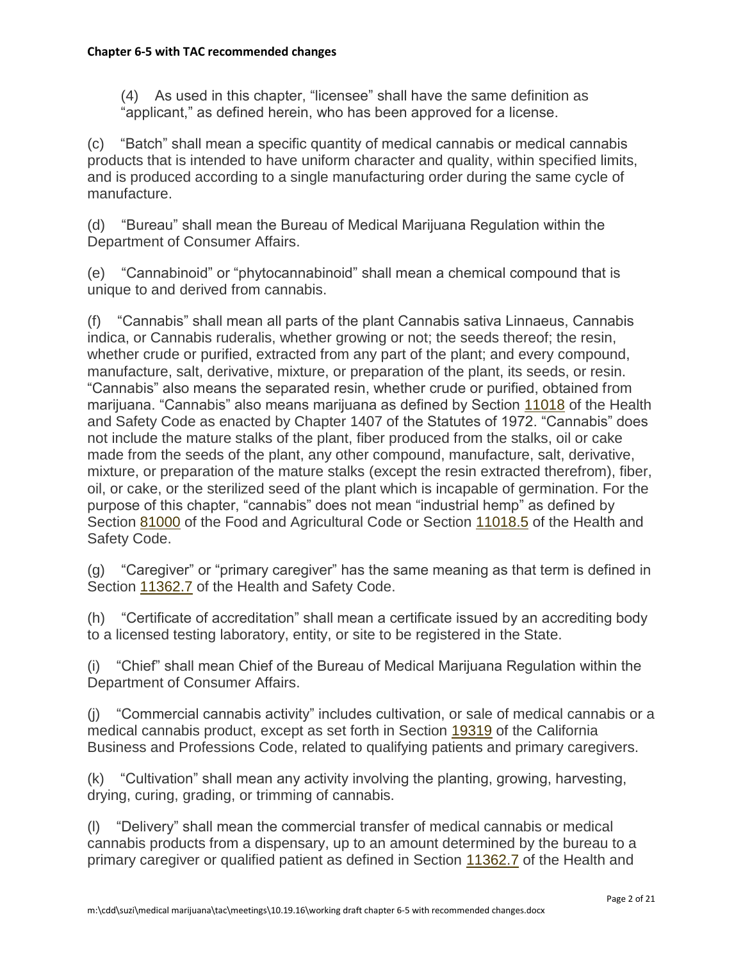(4) As used in this chapter, "licensee" shall have the same definition as "applicant," as defined herein, who has been approved for a license.

(c) "Batch" shall mean a specific quantity of medical cannabis or medical cannabis products that is intended to have uniform character and quality, within specified limits, and is produced according to a single manufacturing order during the same cycle of manufacture.

(d) "Bureau" shall mean the Bureau of Medical Marijuana Regulation within the Department of Consumer Affairs.

(e) "Cannabinoid" or "phytocannabinoid" shall mean a chemical compound that is unique to and derived from cannabis.

(f) "Cannabis" shall mean all parts of the plant Cannabis sativa Linnaeus, Cannabis indica, or Cannabis ruderalis, whether growing or not; the seeds thereof; the resin, whether crude or purified, extracted from any part of the plant; and every compound, manufacture, salt, derivative, mixture, or preparation of the plant, its seeds, or resin. "Cannabis" also means the separated resin, whether crude or purified, obtained from marijuana. "Cannabis" also means marijuana as defined by Section [11018](http://leginfo.legislature.ca.gov/faces/codes_displaySection.xhtml?lawCode=HSC§ionNum=11018) of the Health and Safety Code as enacted by Chapter 1407 of the Statutes of 1972. "Cannabis" does not include the mature stalks of the plant, fiber produced from the stalks, oil or cake made from the seeds of the plant, any other compound, manufacture, salt, derivative, mixture, or preparation of the mature stalks (except the resin extracted therefrom), fiber, oil, or cake, or the sterilized seed of the plant which is incapable of germination. For the purpose of this chapter, "cannabis" does not mean "industrial hemp" as defined by Section [81000](http://leginfo.legislature.ca.gov/faces/codes_displaySection.xhtml?lawCode=FAC§ionNum=81000) of the Food and Agricultural Code or Section [11018.5](http://leginfo.legislature.ca.gov/faces/codes_displaySection.xhtml?lawCode=FAC§ionNum=11018.5) of the Health and Safety Code.

(g) "Caregiver" or "primary caregiver" has the same meaning as that term is defined in Section [11362.7](http://leginfo.legislature.ca.gov/faces/codes_displaySection.xhtml?lawCode=HSC§ionNum=11362.7) of the Health and Safety Code.

(h) "Certificate of accreditation" shall mean a certificate issued by an accrediting body to a licensed testing laboratory, entity, or site to be registered in the State.

(i) "Chief" shall mean Chief of the Bureau of Medical Marijuana Regulation within the Department of Consumer Affairs.

(j) "Commercial cannabis activity" includes cultivation, or sale of medical cannabis or a medical cannabis product, except as set forth in Section [19319](http://leginfo.legislature.ca.gov/faces/codes_displaySection.xhtml?lawCode=BPC§ionNum=19319) of the California Business and Professions Code, related to qualifying patients and primary caregivers.

(k) "Cultivation" shall mean any activity involving the planting, growing, harvesting, drying, curing, grading, or trimming of cannabis.

(l) "Delivery" shall mean the commercial transfer of medical cannabis or medical cannabis products from a dispensary, up to an amount determined by the bureau to a primary caregiver or qualified patient as defined in Section [11362.7](http://leginfo.legislature.ca.gov/faces/codes_displaySection.xhtml?lawCode=HSC§ionNum=11362.7) of the Health and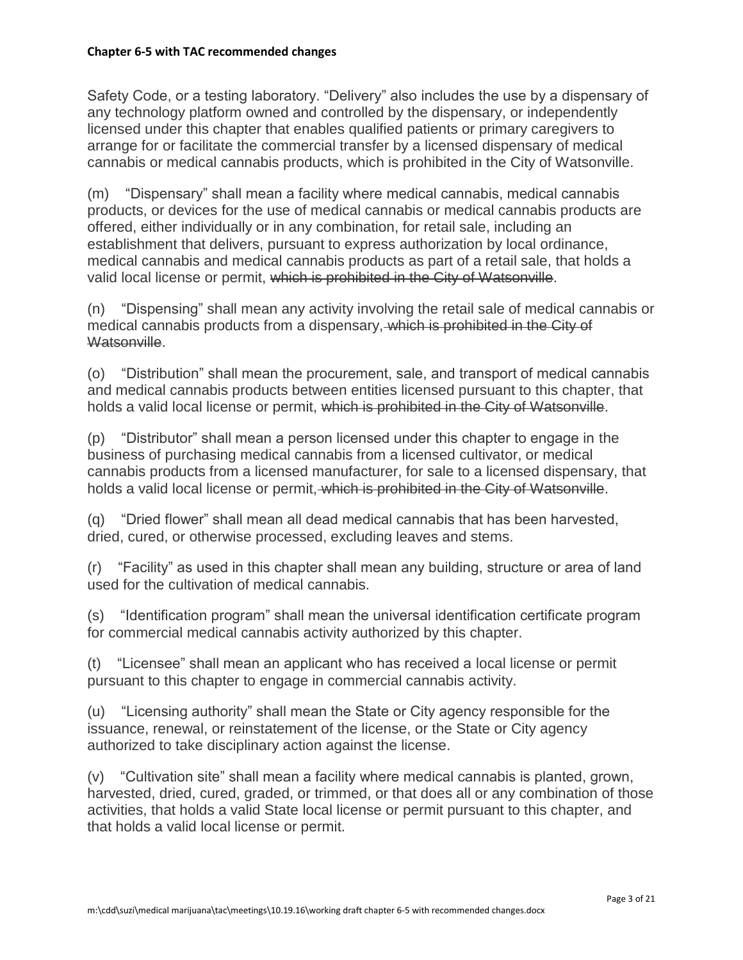Safety Code, or a testing laboratory. "Delivery" also includes the use by a dispensary of any technology platform owned and controlled by the dispensary, or independently licensed under this chapter that enables qualified patients or primary caregivers to arrange for or facilitate the commercial transfer by a licensed dispensary of medical cannabis or medical cannabis products, which is prohibited in the City of Watsonville.

(m) "Dispensary" shall mean a facility where medical cannabis, medical cannabis products, or devices for the use of medical cannabis or medical cannabis products are offered, either individually or in any combination, for retail sale, including an establishment that delivers, pursuant to express authorization by local ordinance, medical cannabis and medical cannabis products as part of a retail sale, that holds a valid local license or permit, which is prohibited in the City of Watsonville.

(n) "Dispensing" shall mean any activity involving the retail sale of medical cannabis or medical cannabis products from a dispensary, which is prohibited in the City of Watsonville.

(o) "Distribution" shall mean the procurement, sale, and transport of medical cannabis and medical cannabis products between entities licensed pursuant to this chapter, that holds a valid local license or permit, which is prohibited in the City of Watsonville.

(p) "Distributor" shall mean a person licensed under this chapter to engage in the business of purchasing medical cannabis from a licensed cultivator, or medical cannabis products from a licensed manufacturer, for sale to a licensed dispensary, that holds a valid local license or permit. which is prohibited in the City of Watsonville.

(q) "Dried flower" shall mean all dead medical cannabis that has been harvested, dried, cured, or otherwise processed, excluding leaves and stems.

(r) "Facility" as used in this chapter shall mean any building, structure or area of land used for the cultivation of medical cannabis.

(s) "Identification program" shall mean the universal identification certificate program for commercial medical cannabis activity authorized by this chapter.

(t) "Licensee" shall mean an applicant who has received a local license or permit pursuant to this chapter to engage in commercial cannabis activity.

(u) "Licensing authority" shall mean the State or City agency responsible for the issuance, renewal, or reinstatement of the license, or the State or City agency authorized to take disciplinary action against the license.

(v) "Cultivation site" shall mean a facility where medical cannabis is planted, grown, harvested, dried, cured, graded, or trimmed, or that does all or any combination of those activities, that holds a valid State local license or permit pursuant to this chapter, and that holds a valid local license or permit.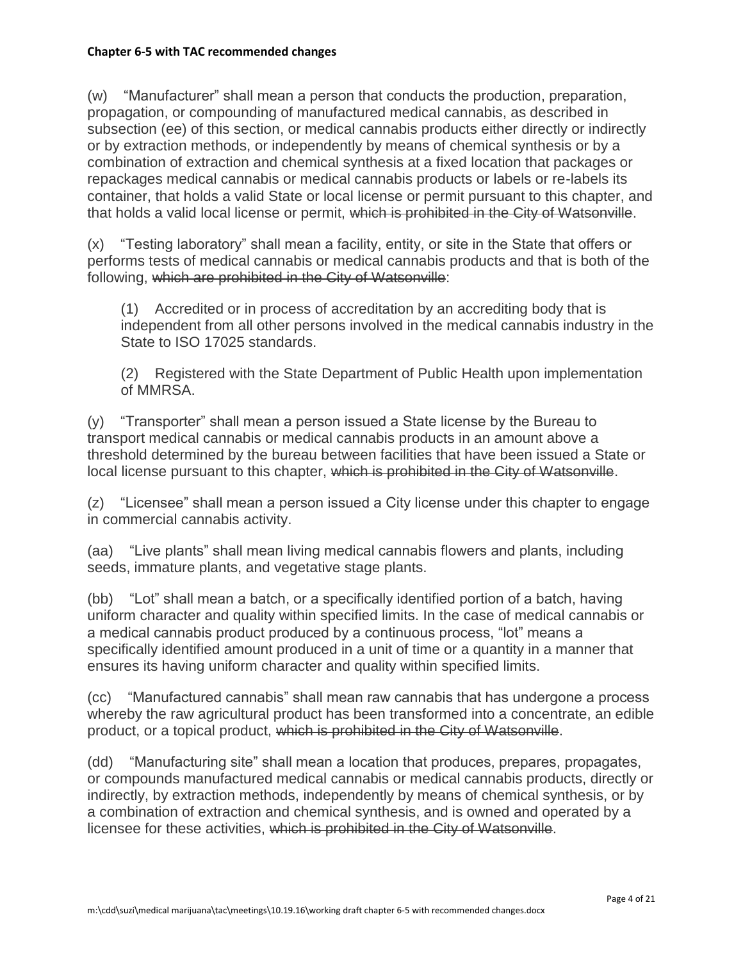(w) "Manufacturer" shall mean a person that conducts the production, preparation, propagation, or compounding of manufactured medical cannabis, as described in subsection (ee) of this section, or medical cannabis products either directly or indirectly or by extraction methods, or independently by means of chemical synthesis or by a combination of extraction and chemical synthesis at a fixed location that packages or repackages medical cannabis or medical cannabis products or labels or re-labels its container, that holds a valid State or local license or permit pursuant to this chapter, and that holds a valid local license or permit, which is prohibited in the City of Watsonville.

(x) "Testing laboratory" shall mean a facility, entity, or site in the State that offers or performs tests of medical cannabis or medical cannabis products and that is both of the following, which are prohibited in the City of Watsonville:

(1) Accredited or in process of accreditation by an accrediting body that is independent from all other persons involved in the medical cannabis industry in the State to ISO 17025 standards.

(2) Registered with the State Department of Public Health upon implementation of MMRSA.

(y) "Transporter" shall mean a person issued a State license by the Bureau to transport medical cannabis or medical cannabis products in an amount above a threshold determined by the bureau between facilities that have been issued a State or local license pursuant to this chapter, which is prohibited in the City of Watsonville.

(z) "Licensee" shall mean a person issued a City license under this chapter to engage in commercial cannabis activity.

(aa) "Live plants" shall mean living medical cannabis flowers and plants, including seeds, immature plants, and vegetative stage plants.

(bb) "Lot" shall mean a batch, or a specifically identified portion of a batch, having uniform character and quality within specified limits. In the case of medical cannabis or a medical cannabis product produced by a continuous process, "lot" means a specifically identified amount produced in a unit of time or a quantity in a manner that ensures its having uniform character and quality within specified limits.

(cc) "Manufactured cannabis" shall mean raw cannabis that has undergone a process whereby the raw agricultural product has been transformed into a concentrate, an edible product, or a topical product, which is prohibited in the City of Watsonville.

(dd) "Manufacturing site" shall mean a location that produces, prepares, propagates, or compounds manufactured medical cannabis or medical cannabis products, directly or indirectly, by extraction methods, independently by means of chemical synthesis, or by a combination of extraction and chemical synthesis, and is owned and operated by a licensee for these activities, which is prohibited in the City of Watsonville.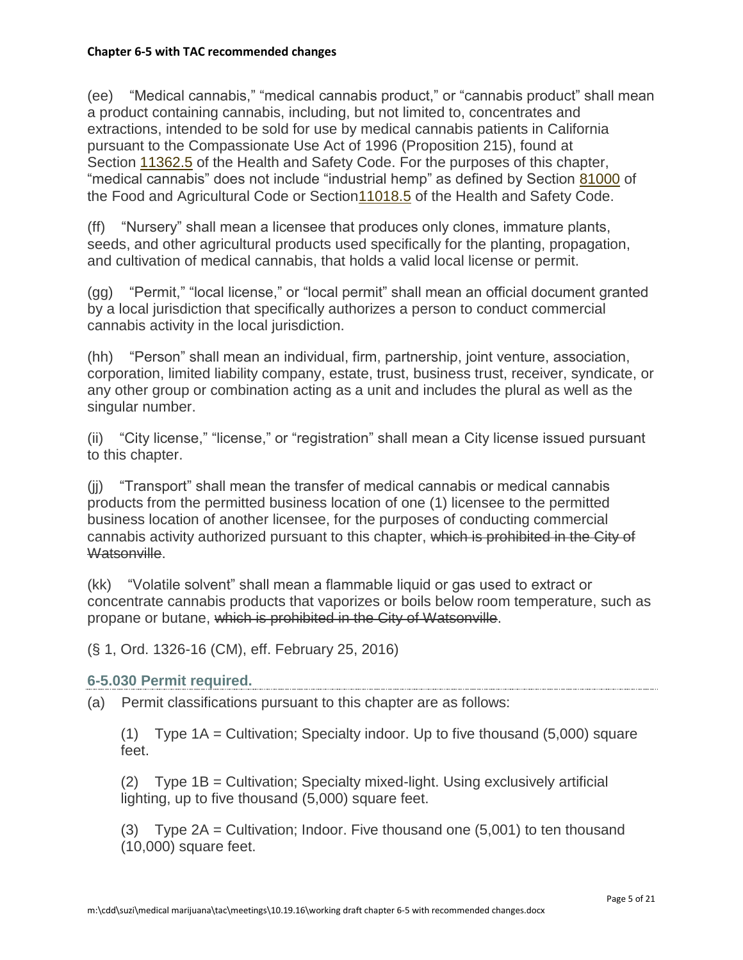(ee) "Medical cannabis," "medical cannabis product," or "cannabis product" shall mean a product containing cannabis, including, but not limited to, concentrates and extractions, intended to be sold for use by medical cannabis patients in California pursuant to the Compassionate Use Act of 1996 (Proposition 215), found at Section [11362.5](http://leginfo.legislature.ca.gov/faces/codes_displaySection.xhtml?lawCode=HSC§ionNum=11362.5) of the Health and Safety Code. For the purposes of this chapter, "medical cannabis" does not include "industrial hemp" as defined by Section [81000](http://leginfo.legislature.ca.gov/faces/codes_displaySection.xhtml?lawCode=FAC§ionNum=81000) of the Food and Agricultural Code or Sectio[n11018.5](http://leginfo.legislature.ca.gov/faces/codes_displaySection.xhtml?lawCode=FAC§ionNum=11018.5) of the Health and Safety Code.

(ff) "Nursery" shall mean a licensee that produces only clones, immature plants, seeds, and other agricultural products used specifically for the planting, propagation, and cultivation of medical cannabis, that holds a valid local license or permit.

(gg) "Permit," "local license," or "local permit" shall mean an official document granted by a local jurisdiction that specifically authorizes a person to conduct commercial cannabis activity in the local jurisdiction.

(hh) "Person" shall mean an individual, firm, partnership, joint venture, association, corporation, limited liability company, estate, trust, business trust, receiver, syndicate, or any other group or combination acting as a unit and includes the plural as well as the singular number.

(ii) "City license," "license," or "registration" shall mean a City license issued pursuant to this chapter.

(jj) "Transport" shall mean the transfer of medical cannabis or medical cannabis products from the permitted business location of one (1) licensee to the permitted business location of another licensee, for the purposes of conducting commercial cannabis activity authorized pursuant to this chapter, which is prohibited in the City of Watsonville.

(kk) "Volatile solvent" shall mean a flammable liquid or gas used to extract or concentrate cannabis products that vaporizes or boils below room temperature, such as propane or butane, which is prohibited in the City of Watsonville.

(§ 1, Ord. 1326-16 (CM), eff. February 25, 2016)

## **6-5.030 Permit required.**

(a) Permit classifications pursuant to this chapter are as follows:

(1) Type 1A = Cultivation; Specialty indoor. Up to five thousand (5,000) square feet.

(2) Type 1B = Cultivation; Specialty mixed-light. Using exclusively artificial lighting, up to five thousand (5,000) square feet.

(3) Type 2A = Cultivation; Indoor. Five thousand one (5,001) to ten thousand (10,000) square feet.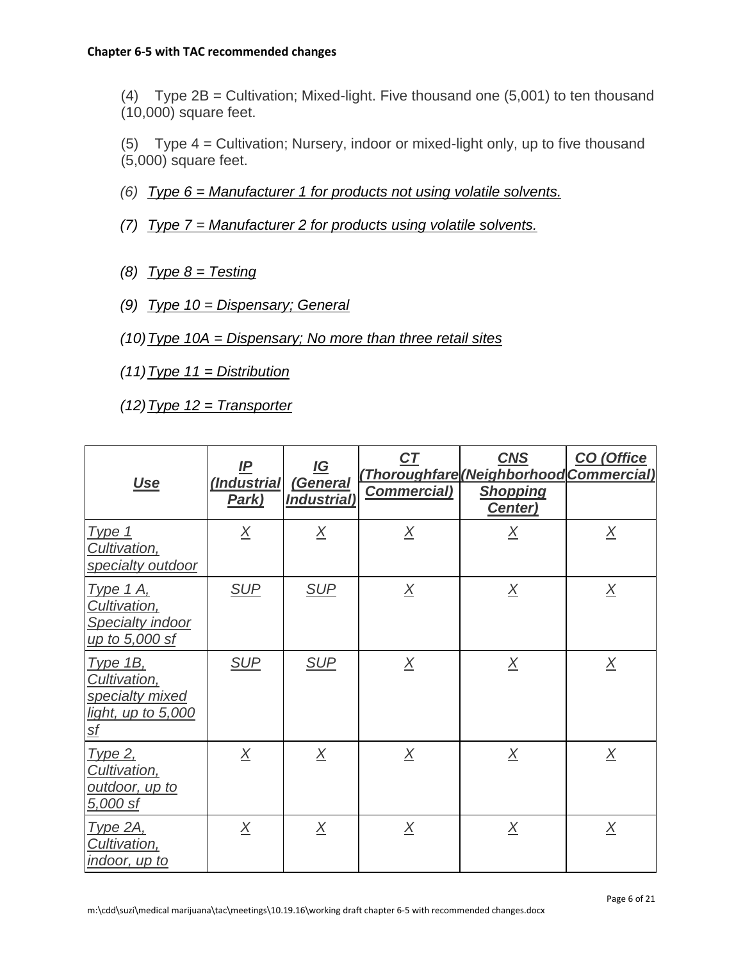(4) Type 2B = Cultivation; Mixed-light. Five thousand one (5,001) to ten thousand (10,000) square feet.

(5) Type 4 = Cultivation; Nursery, indoor or mixed-light only, up to five thousand (5,000) square feet.

- *(6) Type 6 = Manufacturer 1 for products not using volatile solvents.*
- *(7) Type 7 = Manufacturer 2 for products using volatile solvents.*
- *(8) Type 8 = Testing*
- *(9) Type 10 = Dispensary; General*
- *(10)Type 10A = Dispensary; No more than three retail sites*
- *(11)Type 11 = Distribution*
- *(12)Type 12 = Transporter*

| <u>Use</u>                                                                            | <u>IP</u><br>(Industrial<br>Park) | $\underline{IG}$<br>(General<br><b>Industrial</b> ) | $C\overline{T}$<br><b>Commercial)</b> | <b>CNS</b><br>(Thoroughfare (Neighborhood Commercial)<br><b>Shopping</b><br>Center) | <b>CO</b> (Office |
|---------------------------------------------------------------------------------------|-----------------------------------|-----------------------------------------------------|---------------------------------------|-------------------------------------------------------------------------------------|-------------------|
| <u>Type 1</u><br>Cultivation,<br>specialty outdoor                                    | $\underline{X}$                   | $\underline{X}$                                     | $\underline{X}$                       | $\underline{X}$                                                                     | $\underline{X}$   |
| <u>Type 1 A,</u><br>Cultivation,<br><b>Specialty indoor</b><br>up to 5,000 sf         | <b>SUP</b>                        | <b>SUP</b>                                          | $\underline{X}$                       | $\underline{X}$                                                                     | $\underline{X}$   |
| <b>Type 1B,</b><br>Cultivation,<br>specialty mixed<br>light, up to 5,000<br><u>sf</u> | <b>SUP</b>                        | <b>SUP</b>                                          | $\underline{X}$                       | $\underline{X}$                                                                     | $\overline{X}$    |
| <u>Type 2,</u><br>Cultivation,<br>outdoor, up to<br>5,000 sf                          | $\overline{X}$                    | $\overline{X}$                                      | $\overline{X}$                        | $\underline{X}$                                                                     | $\overline{X}$    |
| <u>Type 2A, </u><br>Cultivation,<br><u>indoor, up to</u>                              | $\underline{X}$                   | $\overline{X}$                                      | X                                     | $\underline{X}$                                                                     | $\overline{X}$    |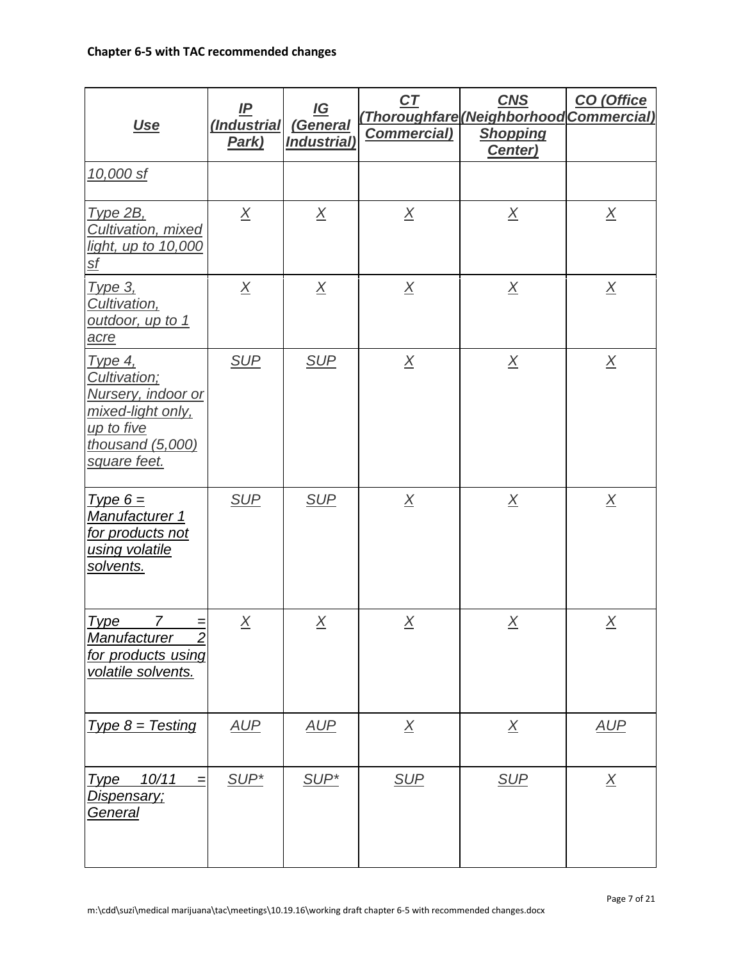| <u>Use</u>                                                                                                                | IP<br>(Industrial<br>Park) | <u>IG</u><br>(General<br>Industrial) | C <sub>T</sub><br><b>Commercial)</b> | <b>CNS</b><br>(Thoroughfare (Neighborhood Commercial)<br><b>Shopping</b><br>Center) | CO (Office      |
|---------------------------------------------------------------------------------------------------------------------------|----------------------------|--------------------------------------|--------------------------------------|-------------------------------------------------------------------------------------|-----------------|
| 10,000 sf                                                                                                                 |                            |                                      |                                      |                                                                                     |                 |
| <b>Type 2B,</b><br><b>Cultivation, mixed</b><br>light, up to 10,000<br><u>sf</u>                                          | $\underline{X}$            | $\underline{X}$                      | $\underline{X}$                      | $\underline{X}$                                                                     | $\underline{X}$ |
| <b>Type 3.</b><br>Cultivation,<br><u>outdoor, up to 1</u><br>acre                                                         | $\underline{X}$            | $\underline{X}$                      | $\underline{X}$                      | $\underline{X}$                                                                     | $\underline{X}$ |
| Type 4,<br>Cultivation;<br>Nursery, indoor or<br>mixed-light only,<br>up to five<br>thousand (5,000)<br>square feet.      | <b>SUP</b>                 | <b>SUP</b>                           | $\underline{X}$                      | $\underline{X}$                                                                     | $\underline{X}$ |
| $Type 6 =$<br>Manufacturer 1<br>for products not<br>using volatile<br>solvents.                                           | <b>SUP</b>                 | <b>SUP</b>                           | $\underline{X}$                      | $\underline{X}$                                                                     | $\underline{X}$ |
| $\overline{7}$<br><b>Type</b><br>$=$<br><b>Manufacturer</b><br>$\overline{2}$<br>for products using<br>volatile solvents. | $\underline{X}$            | $\underline{X}$                      | $\underline{X}$                      | $\underline{X}$                                                                     | $\underline{X}$ |
| $Type 8 = Testing$                                                                                                        | <b>AUP</b>                 | <u>AUP</u>                           | $\underline{X}$                      | $\underline{X}$                                                                     | <u>AUP</u>      |
| 10/11<br><b>Type</b><br>=<br><u> Dispensary;</u><br><u>General</u>                                                        | SUP <sup>*</sup>           | SUP*                                 | <b>SUP</b>                           | <b>SUP</b>                                                                          | $\underline{X}$ |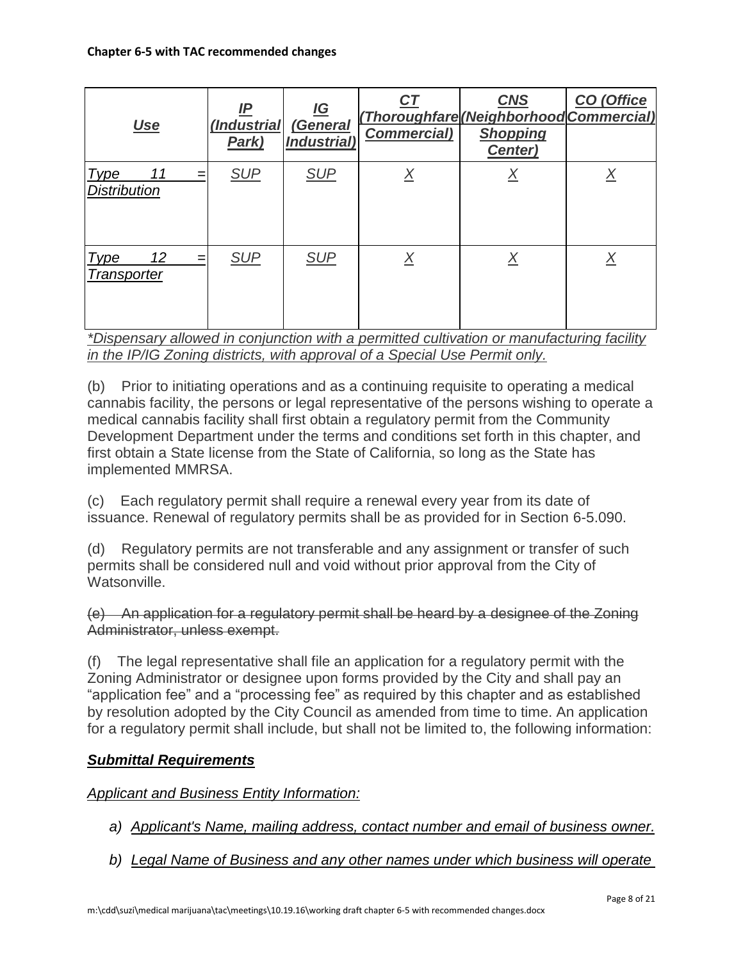| <u>Use</u>                               | IP<br>(Industrial<br>Park) | <u>IG</u><br>(General<br><b>Industrial</b> ) | <u>CT</u><br><b>Commercial)</b> | <b>CNS</b><br>(Thoroughfare (Neighborhood Commercial)<br><b>Shopping</b><br>Center) | CO (Office |
|------------------------------------------|----------------------------|----------------------------------------------|---------------------------------|-------------------------------------------------------------------------------------|------------|
| <b>Type</b><br>11<br><b>Distribution</b> | <b>SUP</b>                 | <b>SUP</b>                                   | <u>X</u>                        | <u>X</u>                                                                            |            |
| 12<br><b>Type</b><br>=<br>Transporter    | <b>SUP</b>                 | <b>SUP</b>                                   | Χ                               | <u>X</u>                                                                            |            |

*\*Dispensary allowed in conjunction with a permitted cultivation or manufacturing facility in the IP/IG Zoning districts, with approval of a Special Use Permit only.*

(b) Prior to initiating operations and as a continuing requisite to operating a medical cannabis facility, the persons or legal representative of the persons wishing to operate a medical cannabis facility shall first obtain a regulatory permit from the Community Development Department under the terms and conditions set forth in this chapter, and first obtain a State license from the State of California, so long as the State has implemented MMRSA.

(c) Each regulatory permit shall require a renewal every year from its date of issuance. Renewal of regulatory permits shall be as provided for in Section 6-5.090.

(d) Regulatory permits are not transferable and any assignment or transfer of such permits shall be considered null and void without prior approval from the City of Watsonville.

(e) An application for a regulatory permit shall be heard by a designee of the Zoning Administrator, unless exempt.

(f) The legal representative shall file an application for a regulatory permit with the Zoning Administrator or designee upon forms provided by the City and shall pay an "application fee" and a "processing fee" as required by this chapter and as established by resolution adopted by the City Council as amended from time to time. An application for a regulatory permit shall include, but shall not be limited to, the following information:

# *Submittal Requirements*

*Applicant and Business Entity Information:*

- *a) Applicant's Name, mailing address, contact number and email of business owner.*
- *b) Legal Name of Business and any other names under which business will operate*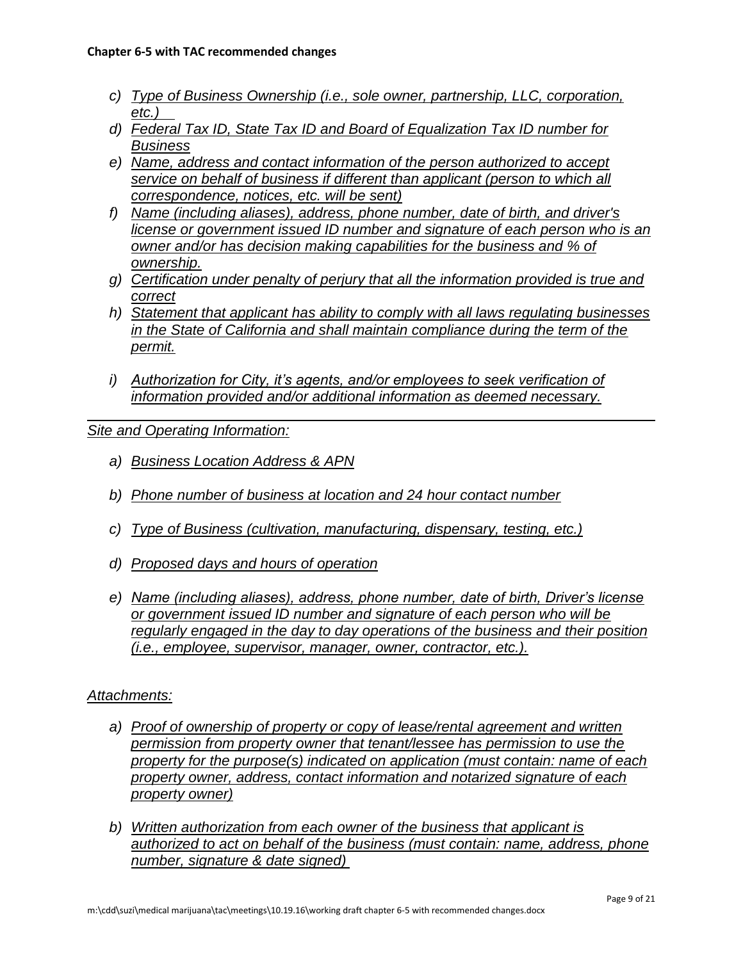- *c) Type of Business Ownership (i.e., sole owner, partnership, LLC, corporation, etc.)*
- *d) Federal Tax ID, State Tax ID and Board of Equalization Tax ID number for Business*
- *e) Name, address and contact information of the person authorized to accept service on behalf of business if different than applicant (person to which all correspondence, notices, etc. will be sent)*
- *f) Name (including aliases), address, phone number, date of birth, and driver's license or government issued ID number and signature of each person who is an owner and/or has decision making capabilities for the business and % of ownership.*
- *g) Certification under penalty of perjury that all the information provided is true and correct*
- *h) Statement that applicant has ability to comply with all laws regulating businesses in the State of California and shall maintain compliance during the term of the permit.*
- *i) Authorization for City, it's agents, and/or employees to seek verification of information provided and/or additional information as deemed necessary.*

*Site and Operating Information:*

- *a) Business Location Address & APN*
- *b) Phone number of business at location and 24 hour contact number*
- *c) Type of Business (cultivation, manufacturing, dispensary, testing, etc.)*
- *d) Proposed days and hours of operation*
- *e) Name (including aliases), address, phone number, date of birth, Driver's license or government issued ID number and signature of each person who will be regularly engaged in the day to day operations of the business and their position (i.e., employee, supervisor, manager, owner, contractor, etc.).*

## *Attachments:*

- *a) Proof of ownership of property or copy of lease/rental agreement and written permission from property owner that tenant/lessee has permission to use the property for the purpose(s) indicated on application (must contain: name of each property owner, address, contact information and notarized signature of each property owner)*
- *b) Written authorization from each owner of the business that applicant is authorized to act on behalf of the business (must contain: name, address, phone number, signature & date signed)*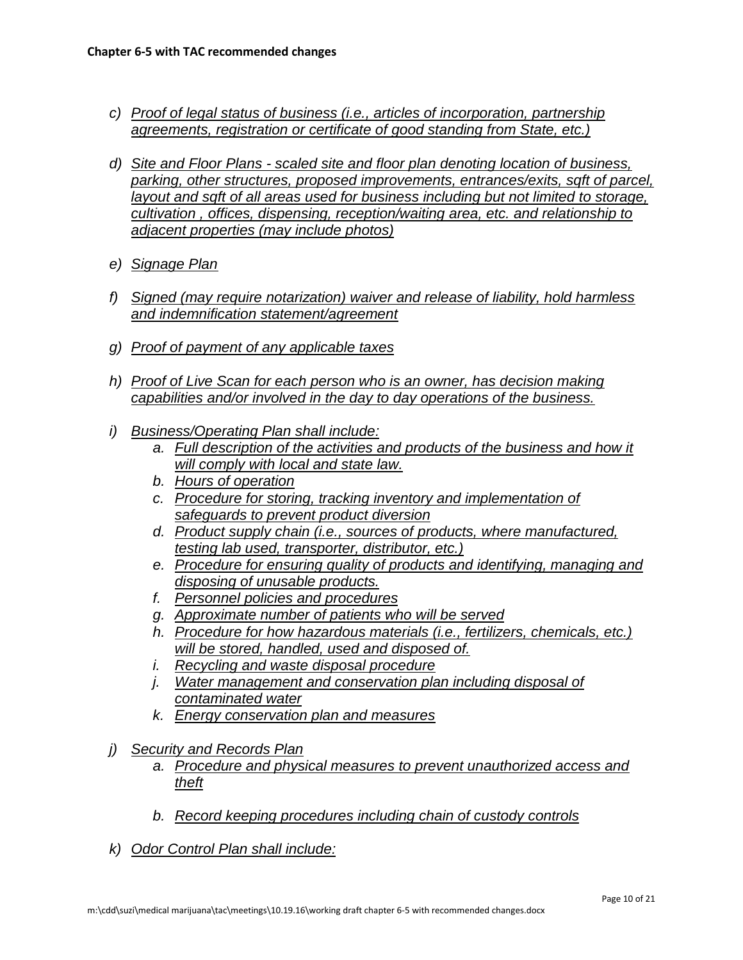- *c) Proof of legal status of business (i.e., articles of incorporation, partnership agreements, registration or certificate of good standing from State, etc.)*
- *d) Site and Floor Plans - scaled site and floor plan denoting location of business, parking, other structures, proposed improvements, entrances/exits, sqft of parcel, layout and sqft of all areas used for business including but not limited to storage, cultivation , offices, dispensing, reception/waiting area, etc. and relationship to adjacent properties (may include photos)*
- *e) Signage Plan*
- *f) Signed (may require notarization) waiver and release of liability, hold harmless and indemnification statement/agreement*
- *g) Proof of payment of any applicable taxes*
- *h) Proof of Live Scan for each person who is an owner, has decision making capabilities and/or involved in the day to day operations of the business.*
- *i) Business/Operating Plan shall include:*
	- *a. Full description of the activities and products of the business and how it will comply with local and state law.*
	- *b. Hours of operation*
	- *c. Procedure for storing, tracking inventory and implementation of safeguards to prevent product diversion*
	- *d. Product supply chain (i.e., sources of products, where manufactured, testing lab used, transporter, distributor, etc.)*
	- *e. Procedure for ensuring quality of products and identifying, managing and disposing of unusable products.*
	- *f. Personnel policies and procedures*
	- *g. Approximate number of patients who will be served*
	- *h. Procedure for how hazardous materials (i.e., fertilizers, chemicals, etc.) will be stored, handled, used and disposed of.*
	- *i. Recycling and waste disposal procedure*
	- *j. Water management and conservation plan including disposal of contaminated water*
	- *k. Energy conservation plan and measures*
- *j) Security and Records Plan*
	- *a. Procedure and physical measures to prevent unauthorized access and theft*
	- *b. Record keeping procedures including chain of custody controls*
- *k) Odor Control Plan shall include:*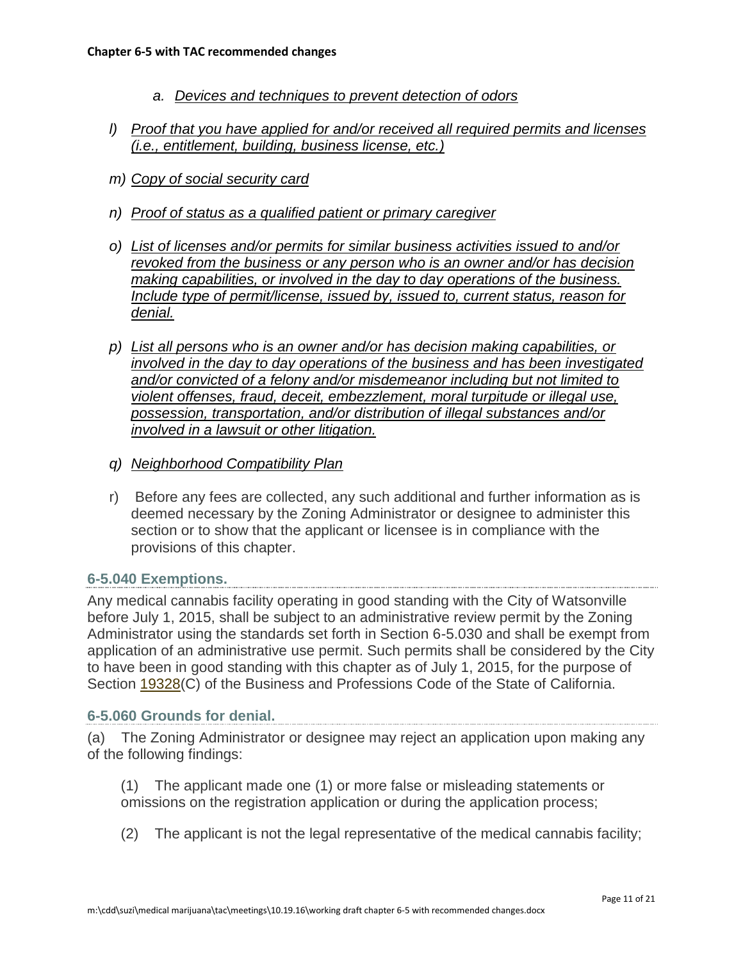- *a. Devices and techniques to prevent detection of odors*
- *l) Proof that you have applied for and/or received all required permits and licenses (i.e., entitlement, building, business license, etc.)*
- *m) Copy of social security card*
- *n) Proof of status as a qualified patient or primary caregiver*
- *o) List of licenses and/or permits for similar business activities issued to and/or revoked from the business or any person who is an owner and/or has decision making capabilities, or involved in the day to day operations of the business. Include type of permit/license, issued by, issued to, current status, reason for denial.*
- *p) List all persons who is an owner and/or has decision making capabilities, or involved in the day to day operations of the business and has been investigated and/or convicted of a felony and/or misdemeanor including but not limited to violent offenses, fraud, deceit, embezzlement, moral turpitude or illegal use, possession, transportation, and/or distribution of illegal substances and/or involved in a lawsuit or other litigation.*
- *q) Neighborhood Compatibility Plan*
- r) Before any fees are collected, any such additional and further information as is deemed necessary by the Zoning Administrator or designee to administer this section or to show that the applicant or licensee is in compliance with the provisions of this chapter.

#### **6-5.040 Exemptions.**

Any medical cannabis facility operating in good standing with the City of Watsonville before July 1, 2015, shall be subject to an administrative review permit by the Zoning Administrator using the standards set forth in Section 6-5.030 and shall be exempt from application of an administrative use permit. Such permits shall be considered by the City to have been in good standing with this chapter as of July 1, 2015, for the purpose of Section [19328\(](http://leginfo.legislature.ca.gov/faces/codes_displaySection.xhtml?lawCode=BPC§ionNum=19328)C) of the Business and Professions Code of the State of California.

#### **6-5.060 Grounds for denial.**

(a) The Zoning Administrator or designee may reject an application upon making any of the following findings:

(1) The applicant made one (1) or more false or misleading statements or omissions on the registration application or during the application process;

(2) The applicant is not the legal representative of the medical cannabis facility;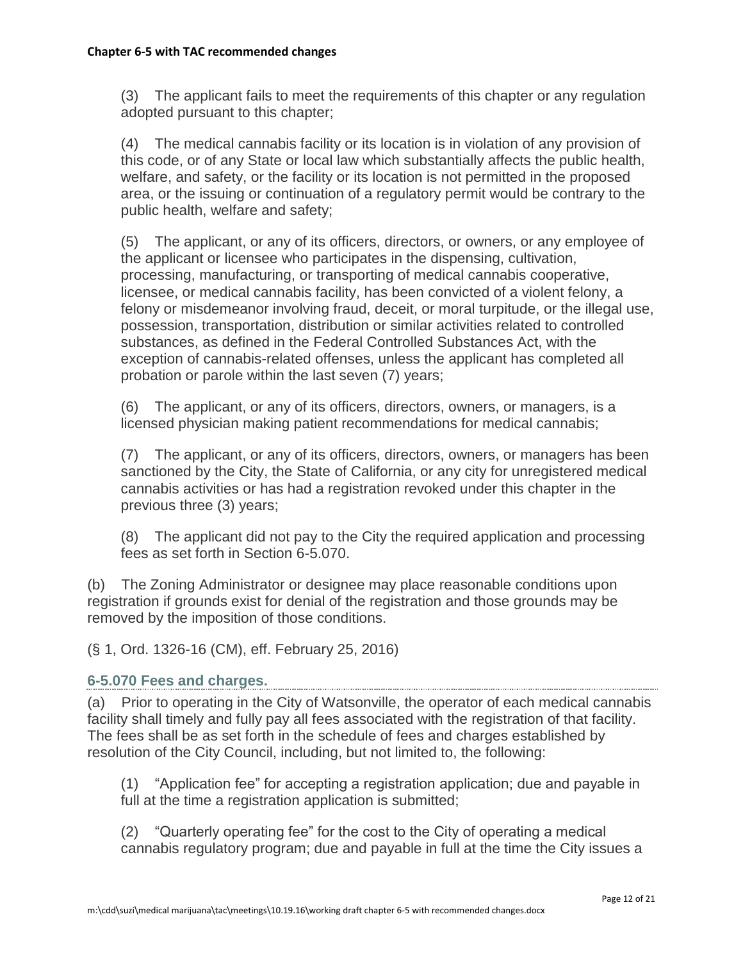(3) The applicant fails to meet the requirements of this chapter or any regulation adopted pursuant to this chapter;

(4) The medical cannabis facility or its location is in violation of any provision of this code, or of any State or local law which substantially affects the public health, welfare, and safety, or the facility or its location is not permitted in the proposed area, or the issuing or continuation of a regulatory permit would be contrary to the public health, welfare and safety;

(5) The applicant, or any of its officers, directors, or owners, or any employee of the applicant or licensee who participates in the dispensing, cultivation, processing, manufacturing, or transporting of medical cannabis cooperative, licensee, or medical cannabis facility, has been convicted of a violent felony, a felony or misdemeanor involving fraud, deceit, or moral turpitude, or the illegal use, possession, transportation, distribution or similar activities related to controlled substances, as defined in the Federal Controlled Substances Act, with the exception of cannabis-related offenses, unless the applicant has completed all probation or parole within the last seven (7) years;

(6) The applicant, or any of its officers, directors, owners, or managers, is a licensed physician making patient recommendations for medical cannabis;

(7) The applicant, or any of its officers, directors, owners, or managers has been sanctioned by the City, the State of California, or any city for unregistered medical cannabis activities or has had a registration revoked under this chapter in the previous three (3) years;

(8) The applicant did not pay to the City the required application and processing fees as set forth in Section 6-5.070.

(b) The Zoning Administrator or designee may place reasonable conditions upon registration if grounds exist for denial of the registration and those grounds may be removed by the imposition of those conditions.

(§ 1, Ord. 1326-16 (CM), eff. February 25, 2016)

## **6-5.070 Fees and charges.**

(a) Prior to operating in the City of Watsonville, the operator of each medical cannabis facility shall timely and fully pay all fees associated with the registration of that facility. The fees shall be as set forth in the schedule of fees and charges established by resolution of the City Council, including, but not limited to, the following:

(1) "Application fee" for accepting a registration application; due and payable in full at the time a registration application is submitted;

(2) "Quarterly operating fee" for the cost to the City of operating a medical cannabis regulatory program; due and payable in full at the time the City issues a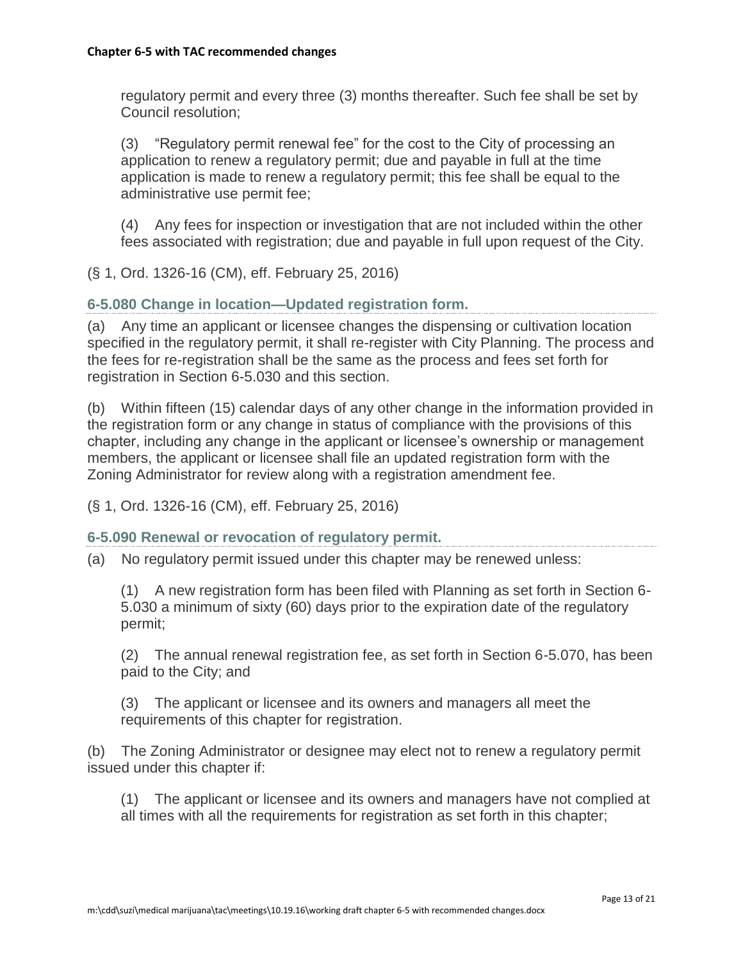regulatory permit and every three (3) months thereafter. Such fee shall be set by Council resolution;

(3) "Regulatory permit renewal fee" for the cost to the City of processing an application to renew a regulatory permit; due and payable in full at the time application is made to renew a regulatory permit; this fee shall be equal to the administrative use permit fee;

(4) Any fees for inspection or investigation that are not included within the other fees associated with registration; due and payable in full upon request of the City.

(§ 1, Ord. 1326-16 (CM), eff. February 25, 2016)

**6-5.080 Change in location—Updated registration form.**

(a) Any time an applicant or licensee changes the dispensing or cultivation location specified in the regulatory permit, it shall re-register with City Planning. The process and the fees for re-registration shall be the same as the process and fees set forth for registration in Section 6-5.030 and this section.

(b) Within fifteen (15) calendar days of any other change in the information provided in the registration form or any change in status of compliance with the provisions of this chapter, including any change in the applicant or licensee's ownership or management members, the applicant or licensee shall file an updated registration form with the Zoning Administrator for review along with a registration amendment fee.

(§ 1, Ord. 1326-16 (CM), eff. February 25, 2016)

**6-5.090 Renewal or revocation of regulatory permit.**

(a) No regulatory permit issued under this chapter may be renewed unless:

(1) A new registration form has been filed with Planning as set forth in Section 6- 5.030 a minimum of sixty (60) days prior to the expiration date of the regulatory permit;

(2) The annual renewal registration fee, as set forth in Section 6-5.070, has been paid to the City; and

(3) The applicant or licensee and its owners and managers all meet the requirements of this chapter for registration.

(b) The Zoning Administrator or designee may elect not to renew a regulatory permit issued under this chapter if:

(1) The applicant or licensee and its owners and managers have not complied at all times with all the requirements for registration as set forth in this chapter;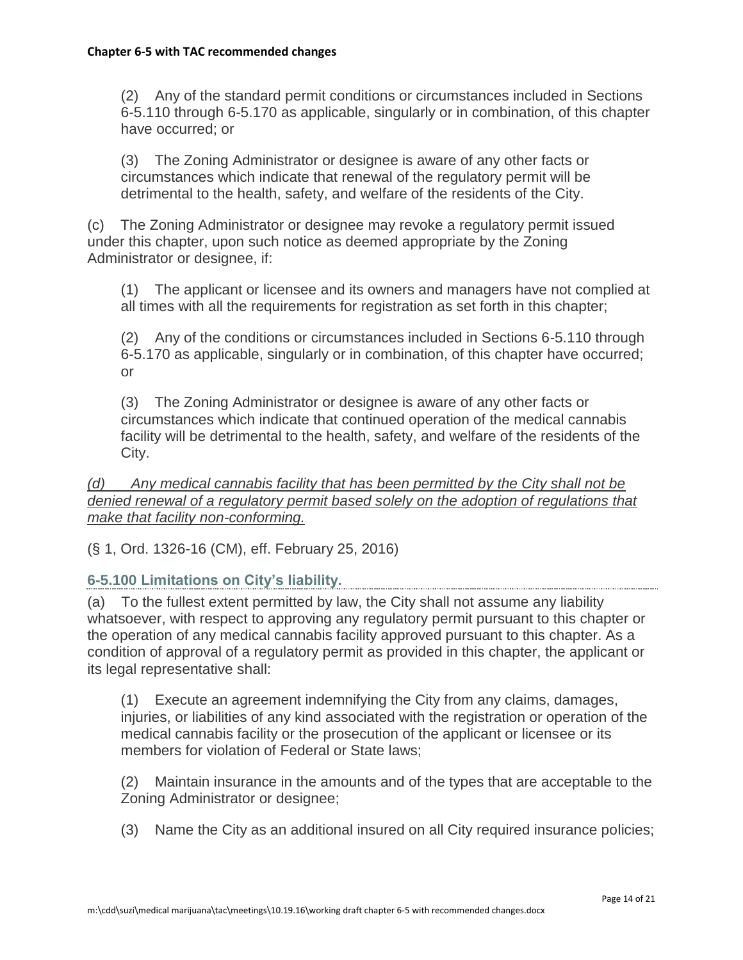(2) Any of the standard permit conditions or circumstances included in Sections 6-5.110 through 6-5.170 as applicable, singularly or in combination, of this chapter have occurred; or

(3) The Zoning Administrator or designee is aware of any other facts or circumstances which indicate that renewal of the regulatory permit will be detrimental to the health, safety, and welfare of the residents of the City.

(c) The Zoning Administrator or designee may revoke a regulatory permit issued under this chapter, upon such notice as deemed appropriate by the Zoning Administrator or designee, if:

(1) The applicant or licensee and its owners and managers have not complied at all times with all the requirements for registration as set forth in this chapter;

(2) Any of the conditions or circumstances included in Sections 6-5.110 through 6-5.170 as applicable, singularly or in combination, of this chapter have occurred; or

(3) The Zoning Administrator or designee is aware of any other facts or circumstances which indicate that continued operation of the medical cannabis facility will be detrimental to the health, safety, and welfare of the residents of the City.

*(d) Any medical cannabis facility that has been permitted by the City shall not be denied renewal of a regulatory permit based solely on the adoption of regulations that make that facility non-conforming.*

(§ 1, Ord. 1326-16 (CM), eff. February 25, 2016)

## **6-5.100 Limitations on City's liability.**

(a) To the fullest extent permitted by law, the City shall not assume any liability whatsoever, with respect to approving any regulatory permit pursuant to this chapter or the operation of any medical cannabis facility approved pursuant to this chapter. As a condition of approval of a regulatory permit as provided in this chapter, the applicant or its legal representative shall:

(1) Execute an agreement indemnifying the City from any claims, damages, injuries, or liabilities of any kind associated with the registration or operation of the medical cannabis facility or the prosecution of the applicant or licensee or its members for violation of Federal or State laws;

(2) Maintain insurance in the amounts and of the types that are acceptable to the Zoning Administrator or designee;

(3) Name the City as an additional insured on all City required insurance policies;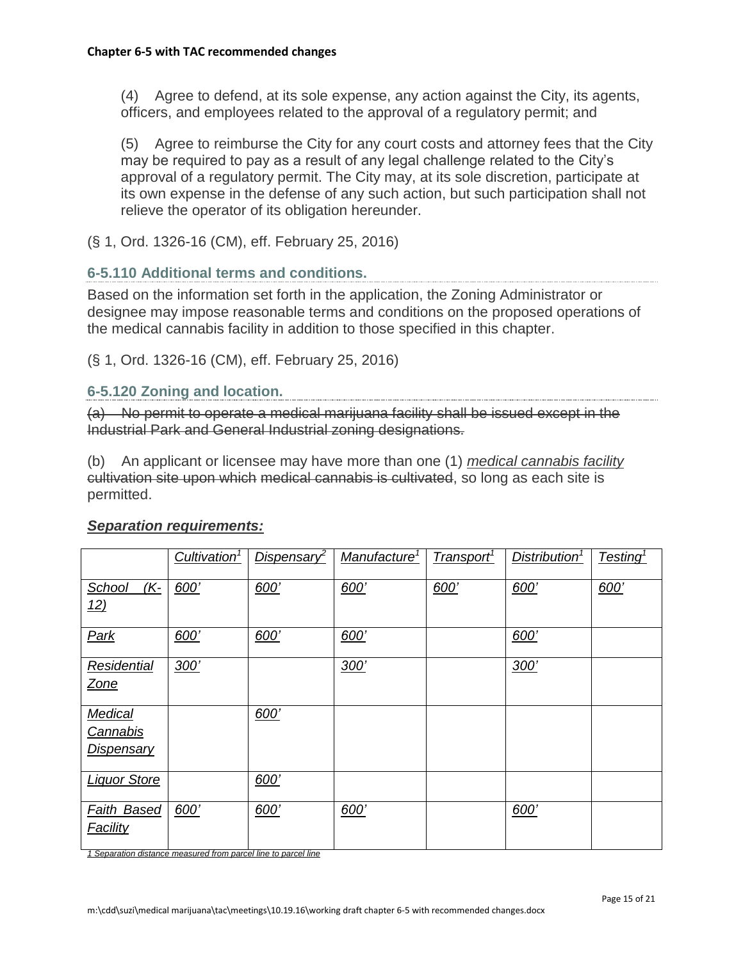(4) Agree to defend, at its sole expense, any action against the City, its agents, officers, and employees related to the approval of a regulatory permit; and

(5) Agree to reimburse the City for any court costs and attorney fees that the City may be required to pay as a result of any legal challenge related to the City's approval of a regulatory permit. The City may, at its sole discretion, participate at its own expense in the defense of any such action, but such participation shall not relieve the operator of its obligation hereunder.

(§ 1, Ord. 1326-16 (CM), eff. February 25, 2016)

#### **6-5.110 Additional terms and conditions.**

Based on the information set forth in the application, the Zoning Administrator or designee may impose reasonable terms and conditions on the proposed operations of the medical cannabis facility in addition to those specified in this chapter.

(§ 1, Ord. 1326-16 (CM), eff. February 25, 2016)

## **6-5.120 Zoning and location.**

(a) No permit to operate a medical marijuana facility shall be issued except in the Industrial Park and General Industrial zoning designations.

(b) An applicant or licensee may have more than one (1) *medical cannabis facility* cultivation site upon which medical cannabis is cultivated, so long as each site is permitted.

|                                                                             | Cultivation <sup>1</sup> | Dispensary <sup>2</sup> | Manufacture <sup>1</sup> | Transport <sup>1</sup> | Distribution <sup>1</sup> | Testing <sup>1</sup> |
|-----------------------------------------------------------------------------|--------------------------|-------------------------|--------------------------|------------------------|---------------------------|----------------------|
| School<br><u>(K-</u><br><u>12)</u>                                          | 600'                     | 600'                    | 600'                     | 600'                   | 600'                      | 600'                 |
| Park                                                                        | 600'                     | 600'                    | 600'                     |                        | 600'                      |                      |
| Residential<br>Zone                                                         | 300'                     |                         | 300'                     |                        | 300'                      |                      |
| <b>Medical</b><br><b>Cannabis</b><br><b>Dispensary</b>                      |                          | 600'                    |                          |                        |                           |                      |
| <b>Liquor Store</b>                                                         |                          | 600'                    |                          |                        |                           |                      |
| <b>Faith Based</b><br><b>Facility</b><br>$\sim$ $\sim$ $\sim$ $\sim$ $\sim$ | 600'                     | 600'                    | 600'                     |                        | 600'                      |                      |

#### *Separation requirements:*

*1 Separation distance measured from parcel line to parcel line*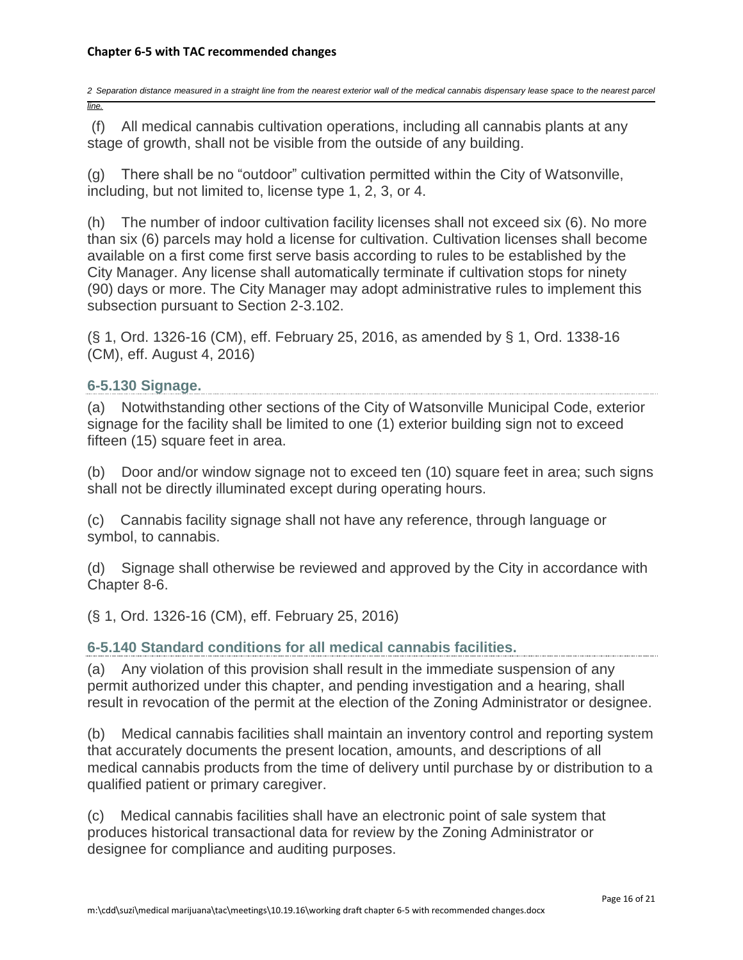*2 Separation distance measured in a straight line from the nearest exterior wall of the medical cannabis dispensary lease space to the nearest parcel line.*

(f) All medical cannabis cultivation operations, including all cannabis plants at any stage of growth, shall not be visible from the outside of any building.

(g) There shall be no "outdoor" cultivation permitted within the City of Watsonville, including, but not limited to, license type 1, 2, 3, or 4.

(h) The number of indoor cultivation facility licenses shall not exceed six (6). No more than six (6) parcels may hold a license for cultivation. Cultivation licenses shall become available on a first come first serve basis according to rules to be established by the City Manager. Any license shall automatically terminate if cultivation stops for ninety (90) days or more. The City Manager may adopt administrative rules to implement this subsection pursuant to Section 2-3.102.

(§ 1, Ord. 1326-16 (CM), eff. February 25, 2016, as amended by § 1, Ord. 1338-16 (CM), eff. August 4, 2016)

#### **6-5.130 Signage.**

(a) Notwithstanding other sections of the City of Watsonville Municipal Code, exterior signage for the facility shall be limited to one (1) exterior building sign not to exceed fifteen (15) square feet in area.

(b) Door and/or window signage not to exceed ten (10) square feet in area; such signs shall not be directly illuminated except during operating hours.

(c) Cannabis facility signage shall not have any reference, through language or symbol, to cannabis.

(d) Signage shall otherwise be reviewed and approved by the City in accordance with Chapter 8-6.

(§ 1, Ord. 1326-16 (CM), eff. February 25, 2016)

#### **6-5.140 Standard conditions for all medical cannabis facilities.**

(a) Any violation of this provision shall result in the immediate suspension of any permit authorized under this chapter, and pending investigation and a hearing, shall result in revocation of the permit at the election of the Zoning Administrator or designee.

(b) Medical cannabis facilities shall maintain an inventory control and reporting system that accurately documents the present location, amounts, and descriptions of all medical cannabis products from the time of delivery until purchase by or distribution to a qualified patient or primary caregiver.

(c) Medical cannabis facilities shall have an electronic point of sale system that produces historical transactional data for review by the Zoning Administrator or designee for compliance and auditing purposes.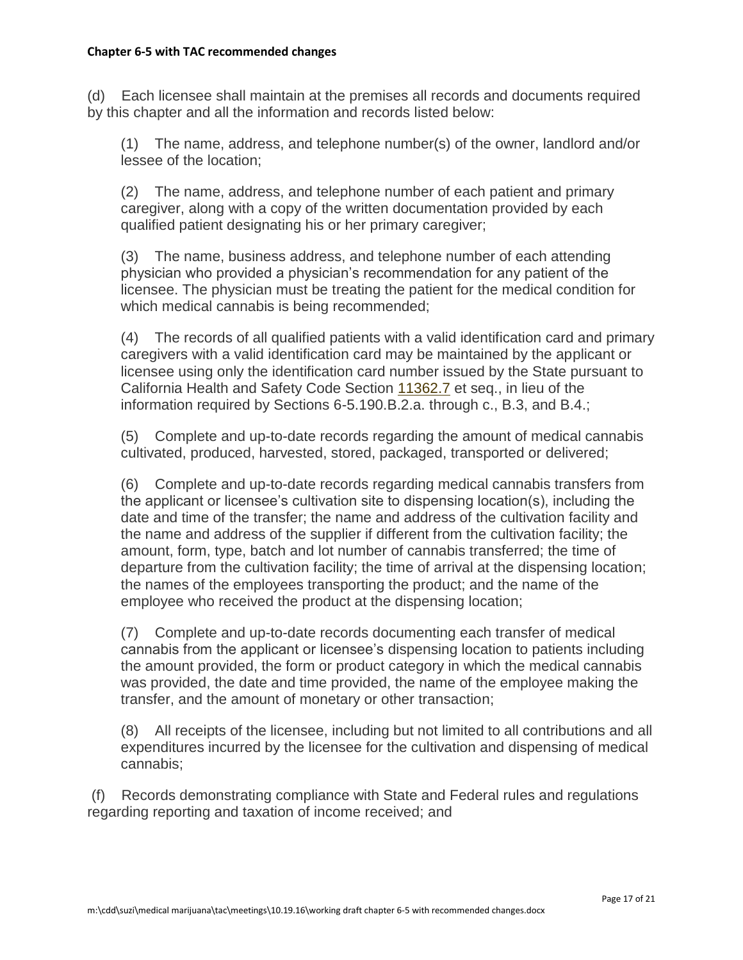(d) Each licensee shall maintain at the premises all records and documents required by this chapter and all the information and records listed below:

(1) The name, address, and telephone number(s) of the owner, landlord and/or lessee of the location;

(2) The name, address, and telephone number of each patient and primary caregiver, along with a copy of the written documentation provided by each qualified patient designating his or her primary caregiver;

(3) The name, business address, and telephone number of each attending physician who provided a physician's recommendation for any patient of the licensee. The physician must be treating the patient for the medical condition for which medical cannabis is being recommended;

(4) The records of all qualified patients with a valid identification card and primary caregivers with a valid identification card may be maintained by the applicant or licensee using only the identification card number issued by the State pursuant to California Health and Safety Code Section [11362.7](http://leginfo.legislature.ca.gov/faces/codes_displaySection.xhtml?lawCode=HSC§ionNum=11362.7) et seq., in lieu of the information required by Sections 6-5.190.B.2.a. through c., B.3, and B.4.;

(5) Complete and up-to-date records regarding the amount of medical cannabis cultivated, produced, harvested, stored, packaged, transported or delivered;

(6) Complete and up-to-date records regarding medical cannabis transfers from the applicant or licensee's cultivation site to dispensing location(s), including the date and time of the transfer; the name and address of the cultivation facility and the name and address of the supplier if different from the cultivation facility; the amount, form, type, batch and lot number of cannabis transferred; the time of departure from the cultivation facility; the time of arrival at the dispensing location; the names of the employees transporting the product; and the name of the employee who received the product at the dispensing location;

(7) Complete and up-to-date records documenting each transfer of medical cannabis from the applicant or licensee's dispensing location to patients including the amount provided, the form or product category in which the medical cannabis was provided, the date and time provided, the name of the employee making the transfer, and the amount of monetary or other transaction;

(8) All receipts of the licensee, including but not limited to all contributions and all expenditures incurred by the licensee for the cultivation and dispensing of medical cannabis;

(f) Records demonstrating compliance with State and Federal rules and regulations regarding reporting and taxation of income received; and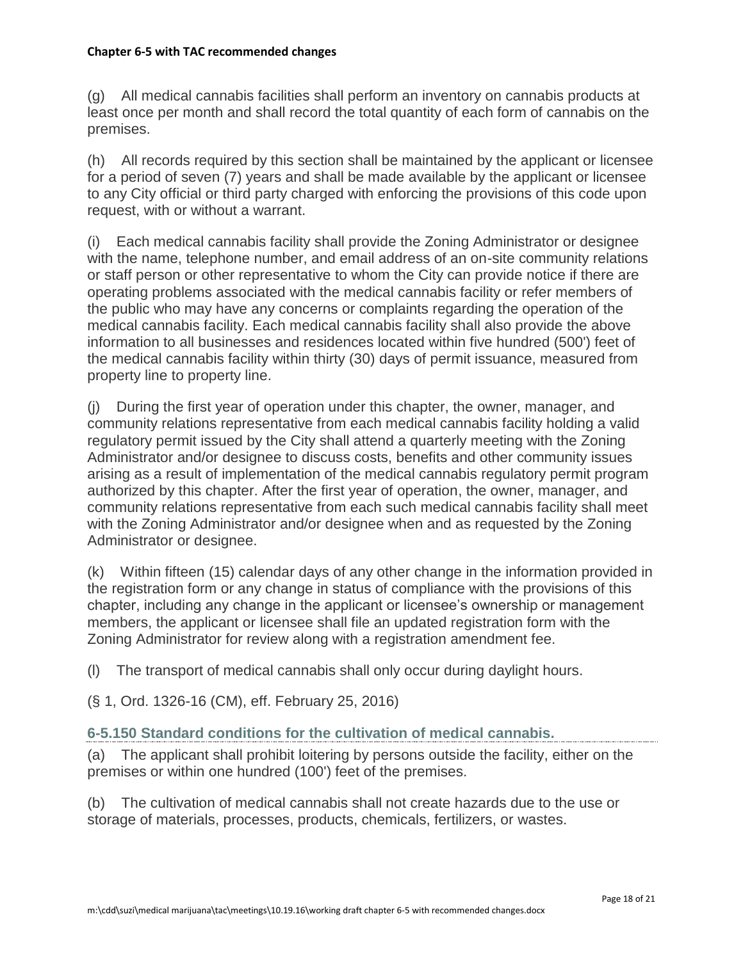(g) All medical cannabis facilities shall perform an inventory on cannabis products at least once per month and shall record the total quantity of each form of cannabis on the premises.

(h) All records required by this section shall be maintained by the applicant or licensee for a period of seven (7) years and shall be made available by the applicant or licensee to any City official or third party charged with enforcing the provisions of this code upon request, with or without a warrant.

(i) Each medical cannabis facility shall provide the Zoning Administrator or designee with the name, telephone number, and email address of an on-site community relations or staff person or other representative to whom the City can provide notice if there are operating problems associated with the medical cannabis facility or refer members of the public who may have any concerns or complaints regarding the operation of the medical cannabis facility. Each medical cannabis facility shall also provide the above information to all businesses and residences located within five hundred (500') feet of the medical cannabis facility within thirty (30) days of permit issuance, measured from property line to property line.

(j) During the first year of operation under this chapter, the owner, manager, and community relations representative from each medical cannabis facility holding a valid regulatory permit issued by the City shall attend a quarterly meeting with the Zoning Administrator and/or designee to discuss costs, benefits and other community issues arising as a result of implementation of the medical cannabis regulatory permit program authorized by this chapter. After the first year of operation, the owner, manager, and community relations representative from each such medical cannabis facility shall meet with the Zoning Administrator and/or designee when and as requested by the Zoning Administrator or designee.

(k) Within fifteen (15) calendar days of any other change in the information provided in the registration form or any change in status of compliance with the provisions of this chapter, including any change in the applicant or licensee's ownership or management members, the applicant or licensee shall file an updated registration form with the Zoning Administrator for review along with a registration amendment fee.

(l) The transport of medical cannabis shall only occur during daylight hours.

(§ 1, Ord. 1326-16 (CM), eff. February 25, 2016)

#### **6-5.150 Standard conditions for the cultivation of medical cannabis.**

(a) The applicant shall prohibit loitering by persons outside the facility, either on the premises or within one hundred (100') feet of the premises.

(b) The cultivation of medical cannabis shall not create hazards due to the use or storage of materials, processes, products, chemicals, fertilizers, or wastes.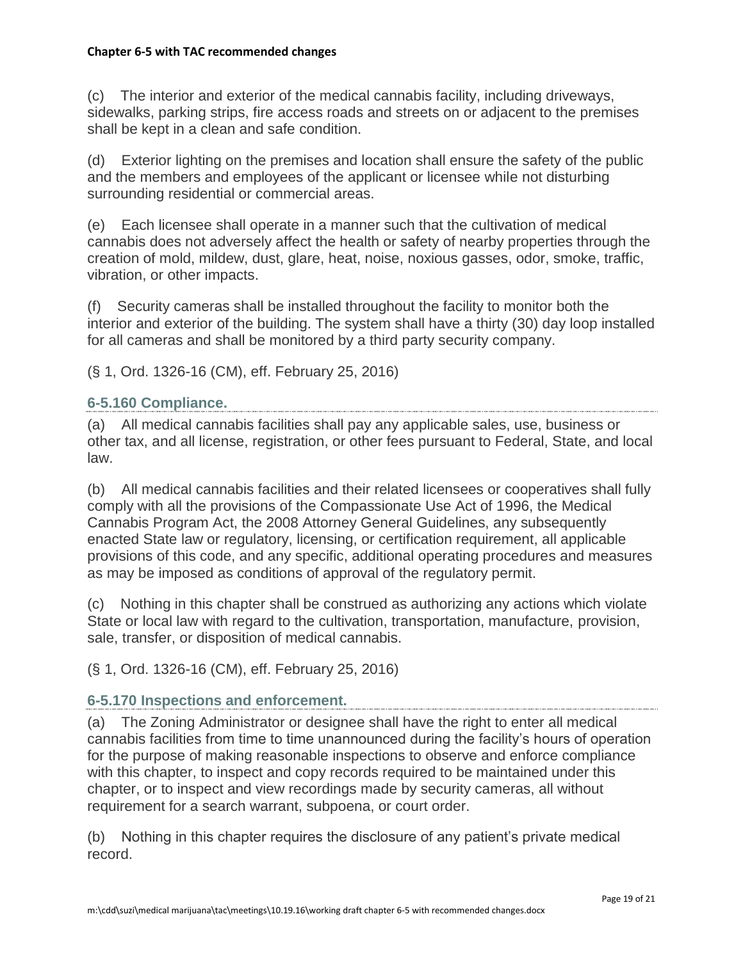(c) The interior and exterior of the medical cannabis facility, including driveways, sidewalks, parking strips, fire access roads and streets on or adjacent to the premises shall be kept in a clean and safe condition.

(d) Exterior lighting on the premises and location shall ensure the safety of the public and the members and employees of the applicant or licensee while not disturbing surrounding residential or commercial areas.

(e) Each licensee shall operate in a manner such that the cultivation of medical cannabis does not adversely affect the health or safety of nearby properties through the creation of mold, mildew, dust, glare, heat, noise, noxious gasses, odor, smoke, traffic, vibration, or other impacts.

(f) Security cameras shall be installed throughout the facility to monitor both the interior and exterior of the building. The system shall have a thirty (30) day loop installed for all cameras and shall be monitored by a third party security company.

(§ 1, Ord. 1326-16 (CM), eff. February 25, 2016)

#### **6-5.160 Compliance.**

(a) All medical cannabis facilities shall pay any applicable sales, use, business or other tax, and all license, registration, or other fees pursuant to Federal, State, and local law.

(b) All medical cannabis facilities and their related licensees or cooperatives shall fully comply with all the provisions of the Compassionate Use Act of 1996, the Medical Cannabis Program Act, the 2008 Attorney General Guidelines, any subsequently enacted State law or regulatory, licensing, or certification requirement, all applicable provisions of this code, and any specific, additional operating procedures and measures as may be imposed as conditions of approval of the regulatory permit.

(c) Nothing in this chapter shall be construed as authorizing any actions which violate State or local law with regard to the cultivation, transportation, manufacture, provision, sale, transfer, or disposition of medical cannabis.

(§ 1, Ord. 1326-16 (CM), eff. February 25, 2016)

#### **6-5.170 Inspections and enforcement.**

(a) The Zoning Administrator or designee shall have the right to enter all medical cannabis facilities from time to time unannounced during the facility's hours of operation for the purpose of making reasonable inspections to observe and enforce compliance with this chapter, to inspect and copy records required to be maintained under this chapter, or to inspect and view recordings made by security cameras, all without requirement for a search warrant, subpoena, or court order.

(b) Nothing in this chapter requires the disclosure of any patient's private medical record.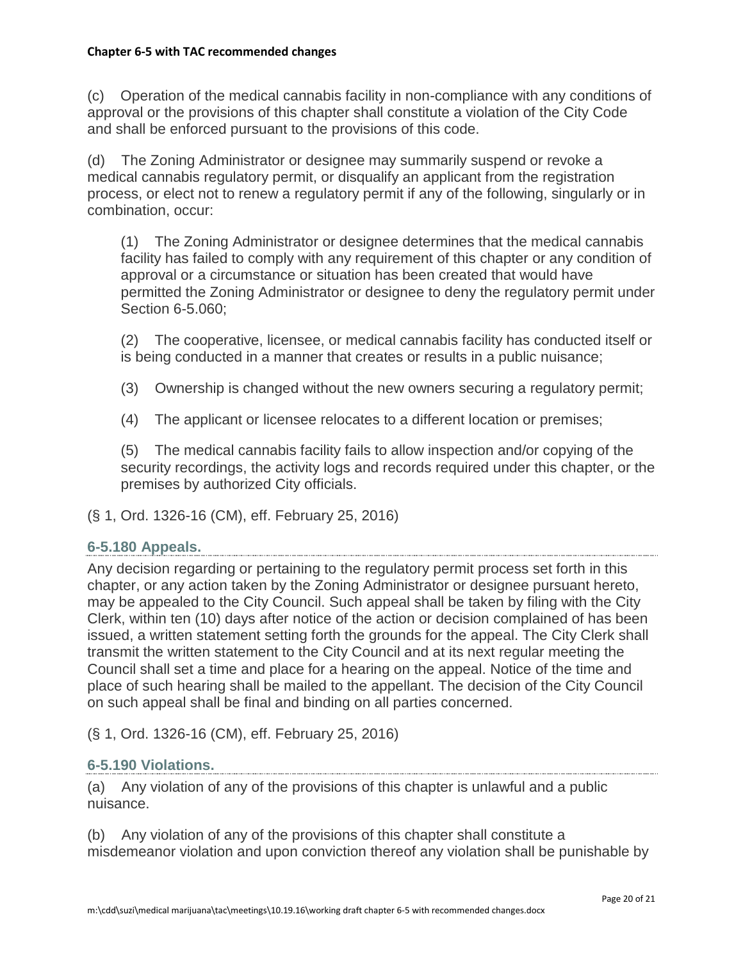(c) Operation of the medical cannabis facility in non-compliance with any conditions of approval or the provisions of this chapter shall constitute a violation of the City Code and shall be enforced pursuant to the provisions of this code.

(d) The Zoning Administrator or designee may summarily suspend or revoke a medical cannabis regulatory permit, or disqualify an applicant from the registration process, or elect not to renew a regulatory permit if any of the following, singularly or in combination, occur:

(1) The Zoning Administrator or designee determines that the medical cannabis facility has failed to comply with any requirement of this chapter or any condition of approval or a circumstance or situation has been created that would have permitted the Zoning Administrator or designee to deny the regulatory permit under Section 6-5.060;

(2) The cooperative, licensee, or medical cannabis facility has conducted itself or is being conducted in a manner that creates or results in a public nuisance;

(3) Ownership is changed without the new owners securing a regulatory permit;

(4) The applicant or licensee relocates to a different location or premises;

(5) The medical cannabis facility fails to allow inspection and/or copying of the security recordings, the activity logs and records required under this chapter, or the premises by authorized City officials.

(§ 1, Ord. 1326-16 (CM), eff. February 25, 2016)

#### **6-5.180 Appeals.**

Any decision regarding or pertaining to the regulatory permit process set forth in this chapter, or any action taken by the Zoning Administrator or designee pursuant hereto, may be appealed to the City Council. Such appeal shall be taken by filing with the City Clerk, within ten (10) days after notice of the action or decision complained of has been issued, a written statement setting forth the grounds for the appeal. The City Clerk shall transmit the written statement to the City Council and at its next regular meeting the Council shall set a time and place for a hearing on the appeal. Notice of the time and place of such hearing shall be mailed to the appellant. The decision of the City Council on such appeal shall be final and binding on all parties concerned.

(§ 1, Ord. 1326-16 (CM), eff. February 25, 2016)

#### **6-5.190 Violations.**

(a) Any violation of any of the provisions of this chapter is unlawful and a public nuisance.

(b) Any violation of any of the provisions of this chapter shall constitute a misdemeanor violation and upon conviction thereof any violation shall be punishable by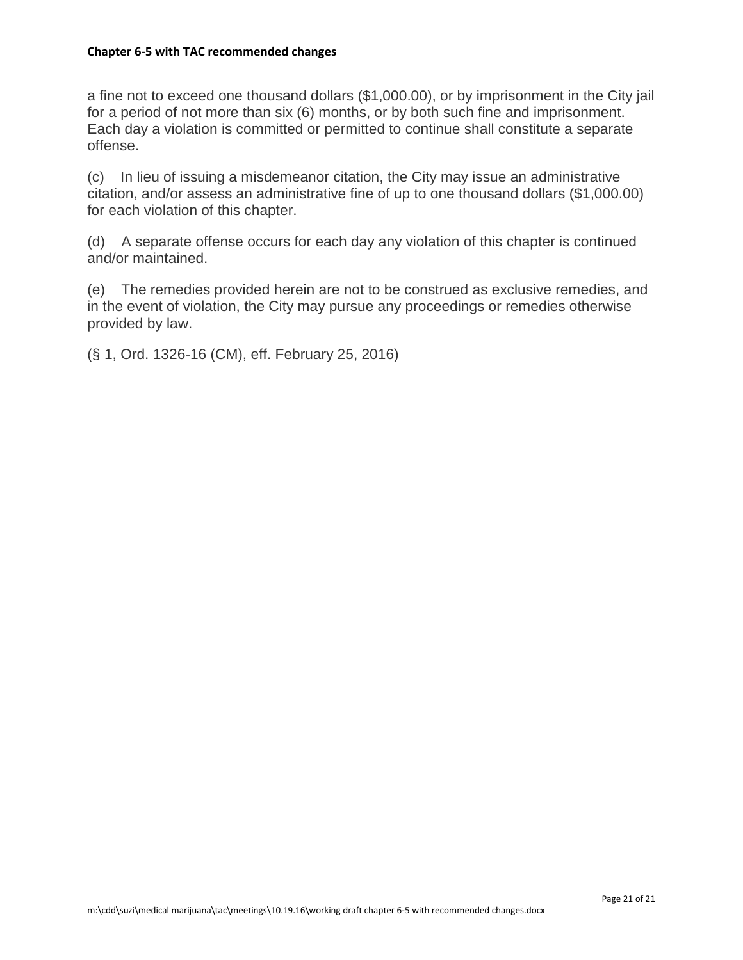a fine not to exceed one thousand dollars (\$1,000.00), or by imprisonment in the City jail for a period of not more than six (6) months, or by both such fine and imprisonment. Each day a violation is committed or permitted to continue shall constitute a separate offense.

(c) In lieu of issuing a misdemeanor citation, the City may issue an administrative citation, and/or assess an administrative fine of up to one thousand dollars (\$1,000.00) for each violation of this chapter.

(d) A separate offense occurs for each day any violation of this chapter is continued and/or maintained.

(e) The remedies provided herein are not to be construed as exclusive remedies, and in the event of violation, the City may pursue any proceedings or remedies otherwise provided by law.

(§ 1, Ord. 1326-16 (CM), eff. February 25, 2016)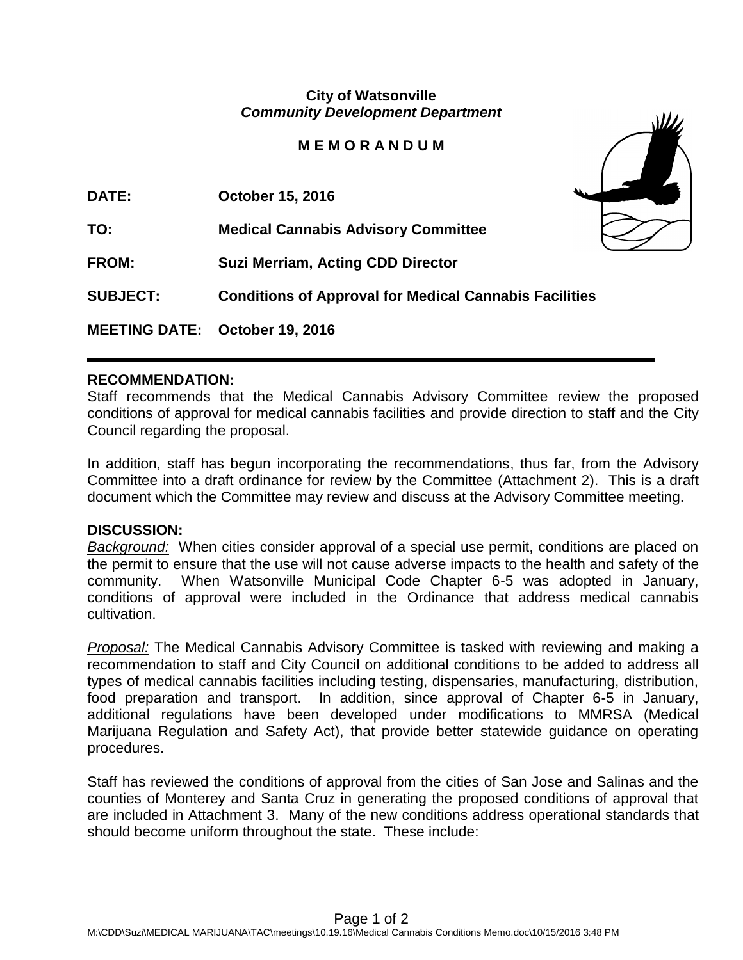## **City of Watsonville** *Community Development Department*

## **M E M O R A N D U M**

| <b>DATE:</b>    | October 15, 2016                                              |  |
|-----------------|---------------------------------------------------------------|--|
| TO:             | <b>Medical Cannabis Advisory Committee</b>                    |  |
| <b>FROM:</b>    | <b>Suzi Merriam, Acting CDD Director</b>                      |  |
| <b>SUBJECT:</b> | <b>Conditions of Approval for Medical Cannabis Facilities</b> |  |
|                 | MEETING DATE: October 19, 2016                                |  |

#### **RECOMMENDATION:**

Staff recommends that the Medical Cannabis Advisory Committee review the proposed conditions of approval for medical cannabis facilities and provide direction to staff and the City Council regarding the proposal.

In addition, staff has begun incorporating the recommendations, thus far, from the Advisory Committee into a draft ordinance for review by the Committee (Attachment 2). This is a draft document which the Committee may review and discuss at the Advisory Committee meeting.

#### **DISCUSSION:**

*Background:* When cities consider approval of a special use permit, conditions are placed on the permit to ensure that the use will not cause adverse impacts to the health and safety of the community. When Watsonville Municipal Code Chapter 6-5 was adopted in January, conditions of approval were included in the Ordinance that address medical cannabis cultivation.

*Proposal:* The Medical Cannabis Advisory Committee is tasked with reviewing and making a recommendation to staff and City Council on additional conditions to be added to address all types of medical cannabis facilities including testing, dispensaries, manufacturing, distribution, food preparation and transport. In addition, since approval of Chapter 6-5 in January, additional regulations have been developed under modifications to MMRSA (Medical Marijuana Regulation and Safety Act), that provide better statewide guidance on operating procedures.

Staff has reviewed the conditions of approval from the cities of San Jose and Salinas and the counties of Monterey and Santa Cruz in generating the proposed conditions of approval that are included in Attachment 3. Many of the new conditions address operational standards that should become uniform throughout the state. These include: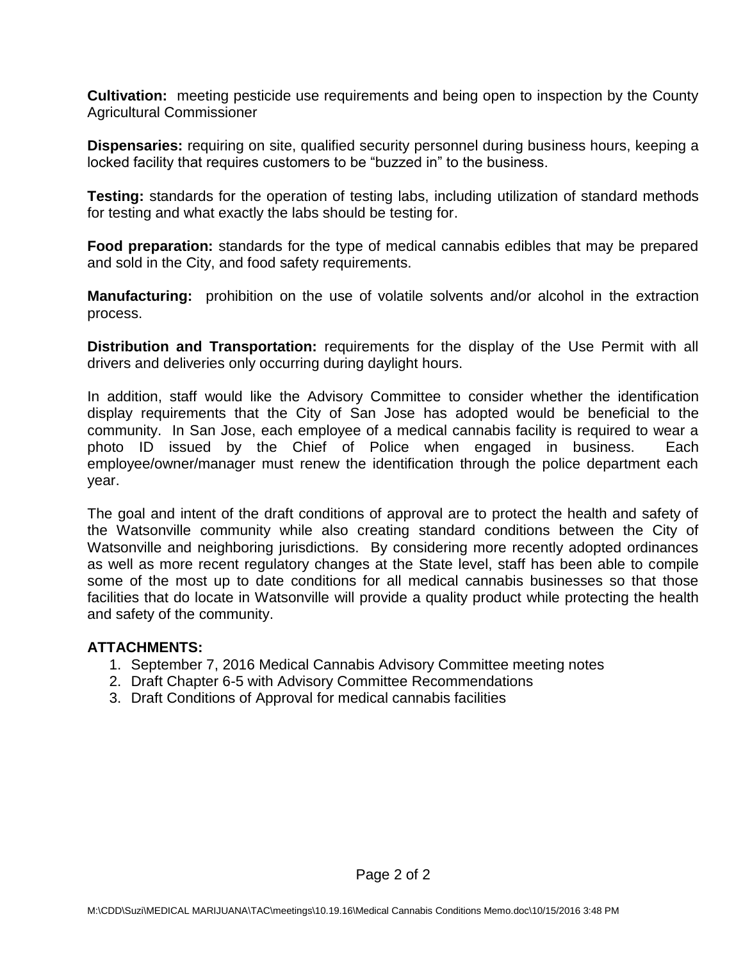**Cultivation:** meeting pesticide use requirements and being open to inspection by the County Agricultural Commissioner

**Dispensaries:** requiring on site, qualified security personnel during business hours, keeping a locked facility that requires customers to be "buzzed in" to the business.

**Testing:** standards for the operation of testing labs, including utilization of standard methods for testing and what exactly the labs should be testing for.

**Food preparation:** standards for the type of medical cannabis edibles that may be prepared and sold in the City, and food safety requirements.

**Manufacturing:** prohibition on the use of volatile solvents and/or alcohol in the extraction process.

**Distribution and Transportation:** requirements for the display of the Use Permit with all drivers and deliveries only occurring during daylight hours.

In addition, staff would like the Advisory Committee to consider whether the identification display requirements that the City of San Jose has adopted would be beneficial to the community. In San Jose, each employee of a medical cannabis facility is required to wear a photo ID issued by the Chief of Police when engaged in business. Each employee/owner/manager must renew the identification through the police department each year.

The goal and intent of the draft conditions of approval are to protect the health and safety of the Watsonville community while also creating standard conditions between the City of Watsonville and neighboring jurisdictions. By considering more recently adopted ordinances as well as more recent regulatory changes at the State level, staff has been able to compile some of the most up to date conditions for all medical cannabis businesses so that those facilities that do locate in Watsonville will provide a quality product while protecting the health and safety of the community.

## **ATTACHMENTS:**

- 1. September 7, 2016 Medical Cannabis Advisory Committee meeting notes
- 2. Draft Chapter 6-5 with Advisory Committee Recommendations
- 3. Draft Conditions of Approval for medical cannabis facilities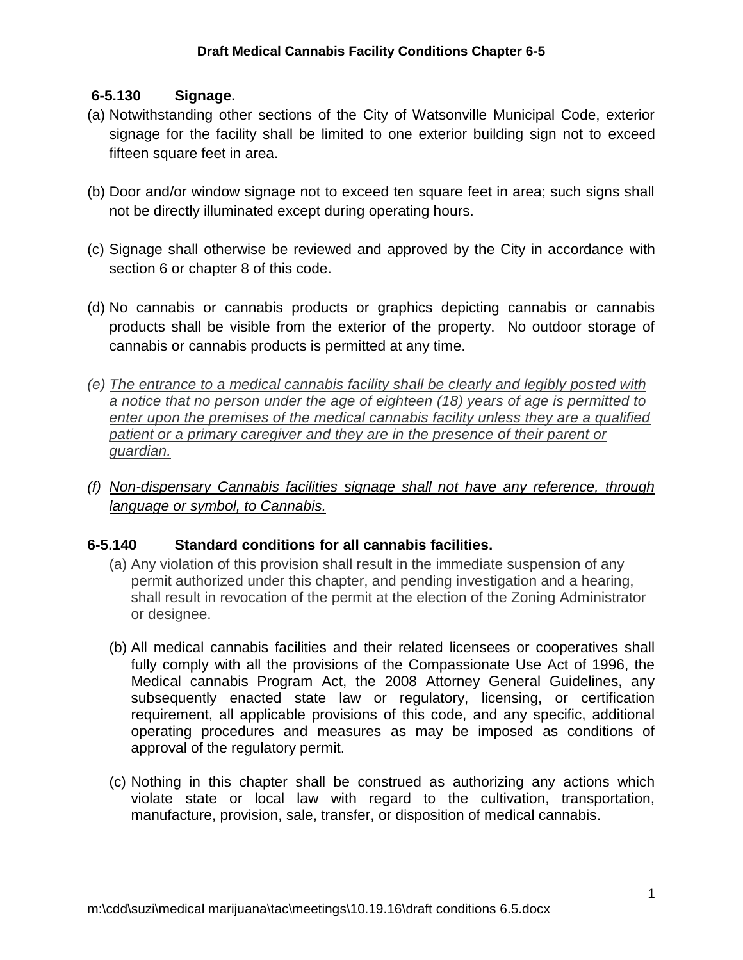## **6-5.130 Signage.**

- (a) Notwithstanding other sections of the City of Watsonville Municipal Code, exterior signage for the facility shall be limited to one exterior building sign not to exceed fifteen square feet in area.
- (b) Door and/or window signage not to exceed ten square feet in area; such signs shall not be directly illuminated except during operating hours.
- (c) Signage shall otherwise be reviewed and approved by the City in accordance with section 6 or chapter 8 of this code.
- (d) No cannabis or cannabis products or graphics depicting cannabis or cannabis products shall be visible from the exterior of the property. No outdoor storage of cannabis or cannabis products is permitted at any time.
- *(e) The entrance to a medical cannabis facility shall be clearly and legibly posted with a notice that no person under the age of eighteen (18) years of age is permitted to enter upon the premises of the medical cannabis facility unless they are a qualified patient or a primary caregiver and they are in the presence of their parent or guardian.*
- *(f) Non-dispensary Cannabis facilities signage shall not have any reference, through language or symbol, to Cannabis.*

# **6-5.140 Standard conditions for all cannabis facilities.**

- (a) Any violation of this provision shall result in the immediate suspension of any permit authorized under this chapter, and pending investigation and a hearing, shall result in revocation of the permit at the election of the Zoning Administrator or designee.
- (b) All medical cannabis facilities and their related licensees or cooperatives shall fully comply with all the provisions of the Compassionate Use Act of 1996, the Medical cannabis Program Act, the 2008 Attorney General Guidelines, any subsequently enacted state law or regulatory, licensing, or certification requirement, all applicable provisions of this code, and any specific, additional operating procedures and measures as may be imposed as conditions of approval of the regulatory permit.
- (c) Nothing in this chapter shall be construed as authorizing any actions which violate state or local law with regard to the cultivation, transportation, manufacture, provision, sale, transfer, or disposition of medical cannabis.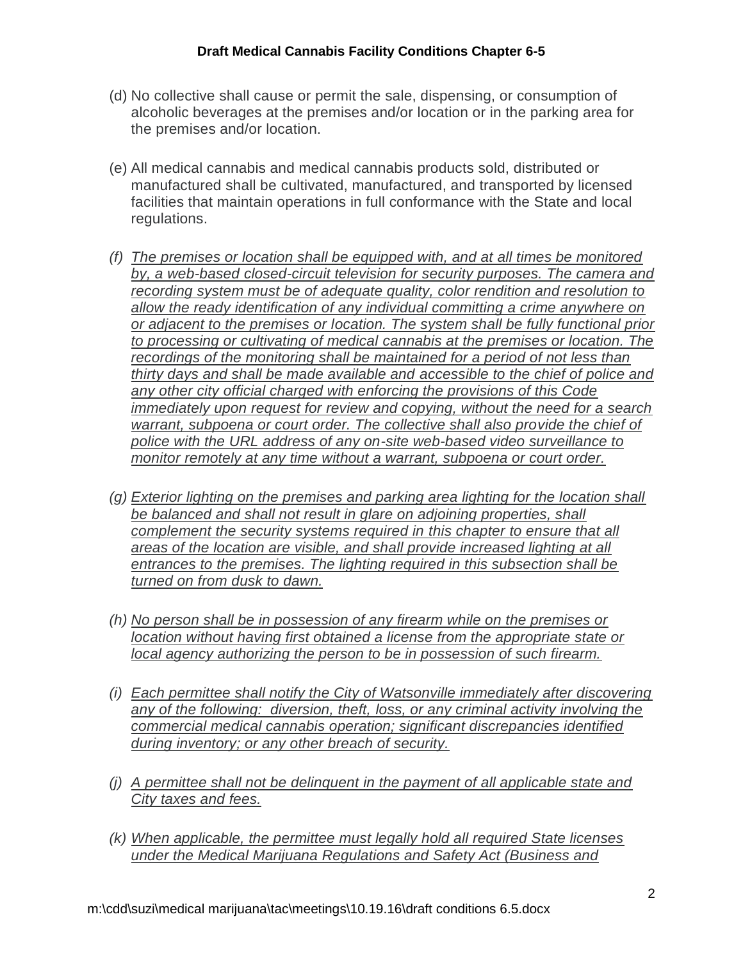- (d) No collective shall cause or permit the sale, dispensing, or consumption of alcoholic beverages at the premises and/or location or in the parking area for the premises and/or location.
- (e) All medical cannabis and medical cannabis products sold, distributed or manufactured shall be cultivated, manufactured, and transported by licensed facilities that maintain operations in full conformance with the State and local regulations.
- *(f) The premises or location shall be equipped with, and at all times be monitored by, a web-based closed-circuit television for security purposes. The camera and recording system must be of adequate quality, color rendition and resolution to allow the ready identification of any individual committing a crime anywhere on or adjacent to the premises or location. The system shall be fully functional prior to processing or cultivating of medical cannabis at the premises or location. The recordings of the monitoring shall be maintained for a period of not less than thirty days and shall be made available and accessible to the chief of police and any other city official charged with enforcing the provisions of this Code immediately upon request for review and copying, without the need for a search warrant, subpoena or court order. The collective shall also provide the chief of police with the URL address of any on-site web-based video surveillance to monitor remotely at any time without a warrant, subpoena or court order.*
- *(g) Exterior lighting on the premises and parking area lighting for the location shall be balanced and shall not result in glare on adjoining properties, shall complement the security systems required in this chapter to ensure that all areas of the location are visible, and shall provide increased lighting at all entrances to the premises. The lighting required in this subsection shall be turned on from dusk to dawn.*
- *(h) No person shall be in possession of any firearm while on the premises or location without having first obtained a license from the appropriate state or local agency authorizing the person to be in possession of such firearm.*
- *(i) Each permittee shall notify the City of Watsonville immediately after discovering any of the following: diversion, theft, loss, or any criminal activity involving the commercial medical cannabis operation; significant discrepancies identified during inventory; or any other breach of security.*
- *(j) A permittee shall not be delinquent in the payment of all applicable state and City taxes and fees.*
- *(k) When applicable, the permittee must legally hold all required State licenses under the Medical Marijuana Regulations and Safety Act (Business and*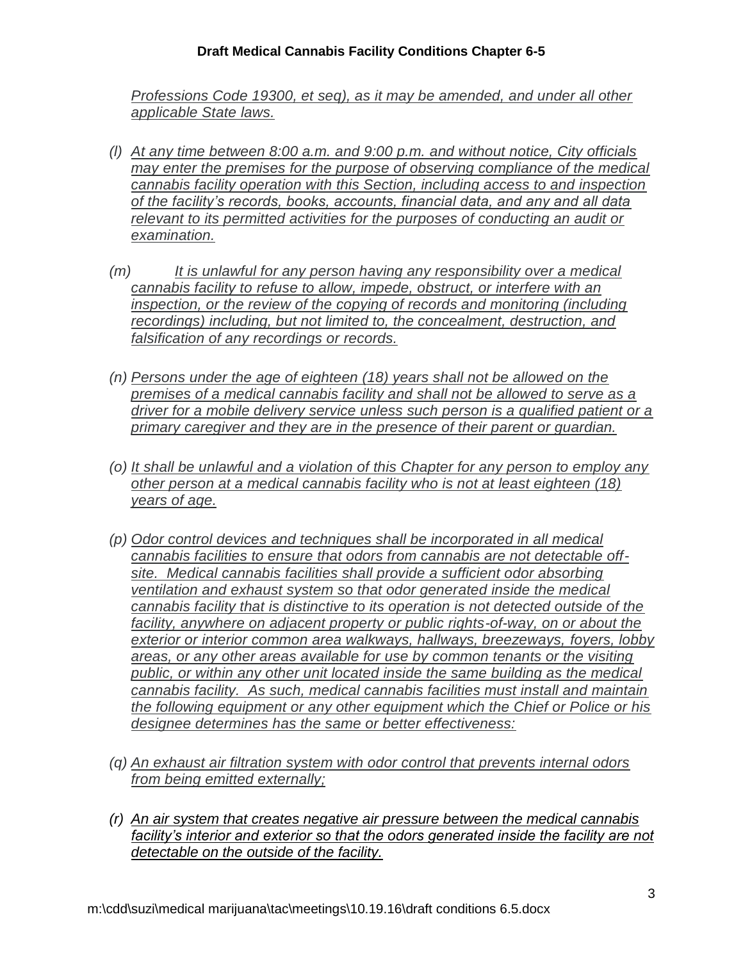## **Draft Medical Cannabis Facility Conditions Chapter 6-5**

*Professions Code 19300, et seq), as it may be amended, and under all other applicable State laws.*

- *(l) At any time between 8:00 a.m. and 9:00 p.m. and without notice, City officials may enter the premises for the purpose of observing compliance of the medical cannabis facility operation with this Section, including access to and inspection of the facility's records, books, accounts, financial data, and any and all data relevant to its permitted activities for the purposes of conducting an audit or examination.*
- *(m) It is unlawful for any person having any responsibility over a medical cannabis facility to refuse to allow, impede, obstruct, or interfere with an inspection, or the review of the copying of records and monitoring (including*  $\overline{a}$ *recordings) including, but not limited to, the concealment, destruction, and falsification of any recordings or records.*
- *(n) Persons under the age of eighteen (18) years shall not be allowed on the premises of a medical cannabis facility and shall not be allowed to serve as a driver for a mobile delivery service unless such person is a qualified patient or a primary caregiver and they are in the presence of their parent or guardian.*
- *(o) It shall be unlawful and a violation of this Chapter for any person to employ any other person at a medical cannabis facility who is not at least eighteen (18) years of age.*
- *(p) Odor control devices and techniques shall be incorporated in all medical cannabis facilities to ensure that odors from cannabis are not detectable offsite. Medical cannabis facilities shall provide a sufficient odor absorbing ventilation and exhaust system so that odor generated inside the medical cannabis facility that is distinctive to its operation is not detected outside of the*  facility, anywhere on adjacent property or public rights-of-way, on or about the *exterior or interior common area walkways, hallways, breezeways, foyers, lobby areas, or any other areas available for use by common tenants or the visiting public, or within any other unit located inside the same building as the medical cannabis facility. As such, medical cannabis facilities must install and maintain the following equipment or any other equipment which the Chief or Police or his designee determines has the same or better effectiveness:*
- *(q) An exhaust air filtration system with odor control that prevents internal odors from being emitted externally;*
- *(r) An air system that creates negative air pressure between the medical cannabis facility's interior and exterior so that the odors generated inside the facility are not detectable on the outside of the facility.*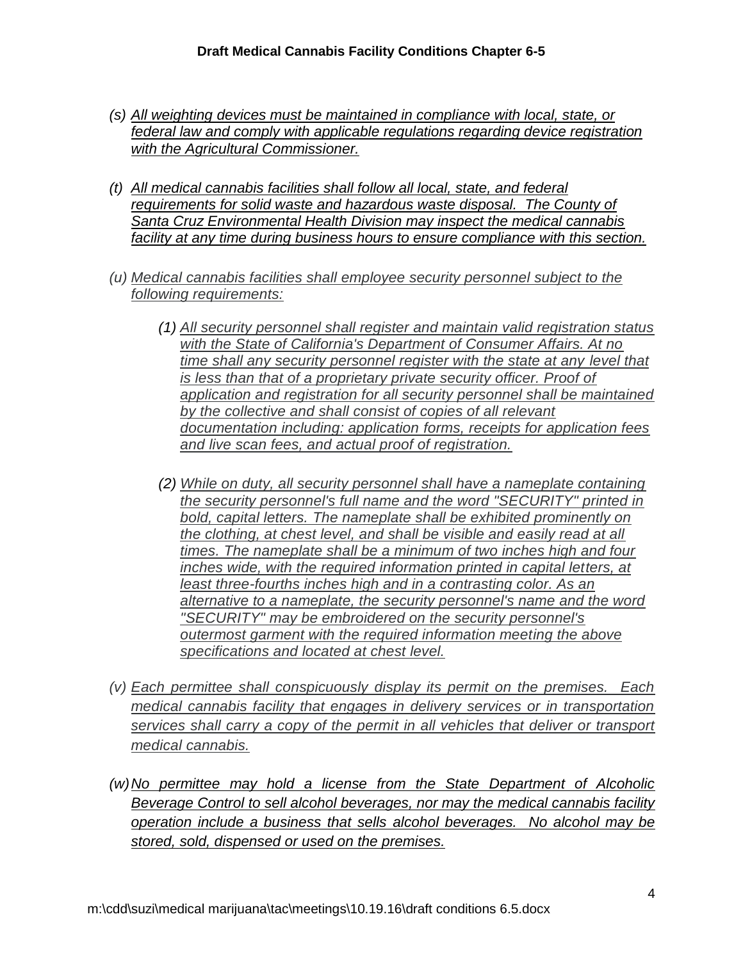- *(s) All weighting devices must be maintained in compliance with local, state, or federal law and comply with applicable regulations regarding device registration with the Agricultural Commissioner.*
- *(t) All medical cannabis facilities shall follow all local, state, and federal*  requirements for solid waste and hazardous waste disposal. The County of *Santa Cruz Environmental Health Division may inspect the medical cannabis facility at any time during business hours to ensure compliance with this section.*
- *(u) Medical cannabis facilities shall employee security personnel subject to the following requirements:*
	- *(1) All security personnel shall register and maintain valid registration status with the State of California's Department of Consumer Affairs. At no time shall any security personnel register with the state at any level that is less than that of a proprietary private security officer. Proof of application and registration for all security personnel shall be maintained by the collective and shall consist of copies of all relevant documentation including: application forms, receipts for application fees and live scan fees, and actual proof of registration.*
	- *(2) While on duty, all security personnel shall have a nameplate containing the security personnel's full name and the word "SECURITY" printed in bold, capital letters. The nameplate shall be exhibited prominently on the clothing, at chest level, and shall be visible and easily read at all times. The nameplate shall be a minimum of two inches high and four inches wide, with the required information printed in capital letters, at least three-fourths inches high and in a contrasting color. As an alternative to a nameplate, the security personnel's name and the word "SECURITY" may be embroidered on the security personnel's outermost garment with the required information meeting the above specifications and located at chest level.*
- *(v) Each permittee shall conspicuously display its permit on the premises. Each medical cannabis facility that engages in delivery services or in transportation services shall carry a copy of the permit in all vehicles that deliver or transport medical cannabis.*
- *(w)No permittee may hold a license from the State Department of Alcoholic Beverage Control to sell alcohol beverages, nor may the medical cannabis facility operation include a business that sells alcohol beverages. No alcohol may be stored, sold, dispensed or used on the premises.*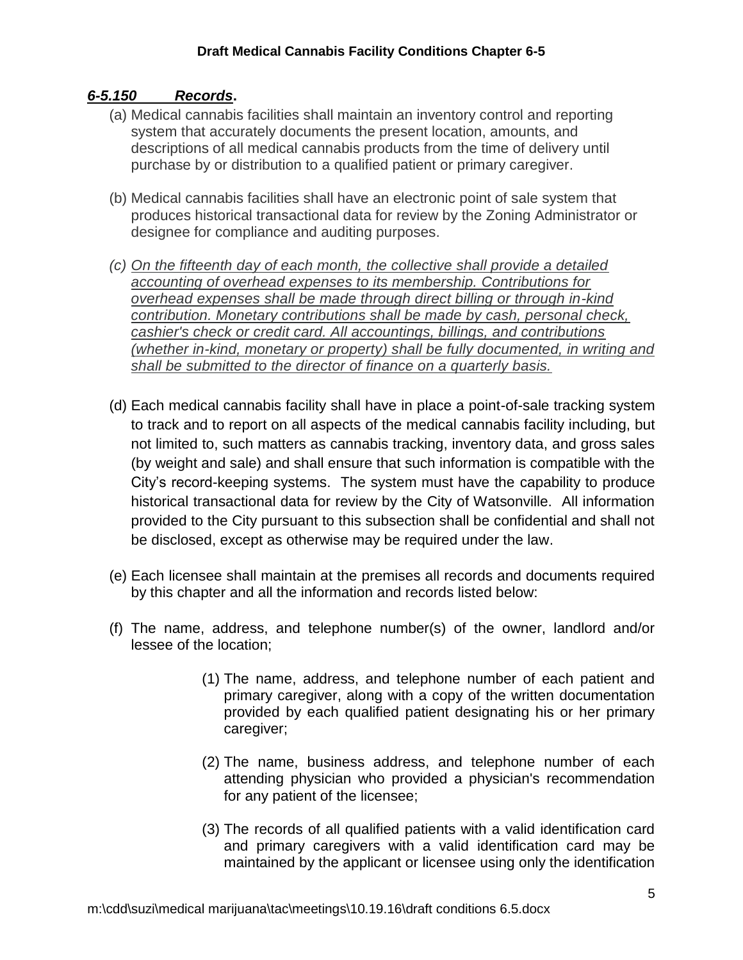## *6-5.150 Records***.**

- (a) Medical cannabis facilities shall maintain an inventory control and reporting system that accurately documents the present location, amounts, and descriptions of all medical cannabis products from the time of delivery until purchase by or distribution to a qualified patient or primary caregiver.
- (b) Medical cannabis facilities shall have an electronic point of sale system that produces historical transactional data for review by the Zoning Administrator or designee for compliance and auditing purposes.
- *(c) On the fifteenth day of each month, the collective shall provide a detailed accounting of overhead expenses to its membership. Contributions for overhead expenses shall be made through direct billing or through in-kind contribution. Monetary contributions shall be made by cash, personal check, cashier's check or credit card. All accountings, billings, and contributions (whether in-kind, monetary or property) shall be fully documented, in writing and shall be submitted to the director of finance on a quarterly basis.*
- (d) Each medical cannabis facility shall have in place a point-of-sale tracking system to track and to report on all aspects of the medical cannabis facility including, but not limited to, such matters as cannabis tracking, inventory data, and gross sales (by weight and sale) and shall ensure that such information is compatible with the City's record-keeping systems. The system must have the capability to produce historical transactional data for review by the City of Watsonville. All information provided to the City pursuant to this subsection shall be confidential and shall not be disclosed, except as otherwise may be required under the law.
- (e) Each licensee shall maintain at the premises all records and documents required by this chapter and all the information and records listed below:
- (f) The name, address, and telephone number(s) of the owner, landlord and/or lessee of the location;
	- (1) The name, address, and telephone number of each patient and primary caregiver, along with a copy of the written documentation provided by each qualified patient designating his or her primary caregiver;
	- (2) The name, business address, and telephone number of each attending physician who provided a physician's recommendation for any patient of the licensee;
	- (3) The records of all qualified patients with a valid identification card and primary caregivers with a valid identification card may be maintained by the applicant or licensee using only the identification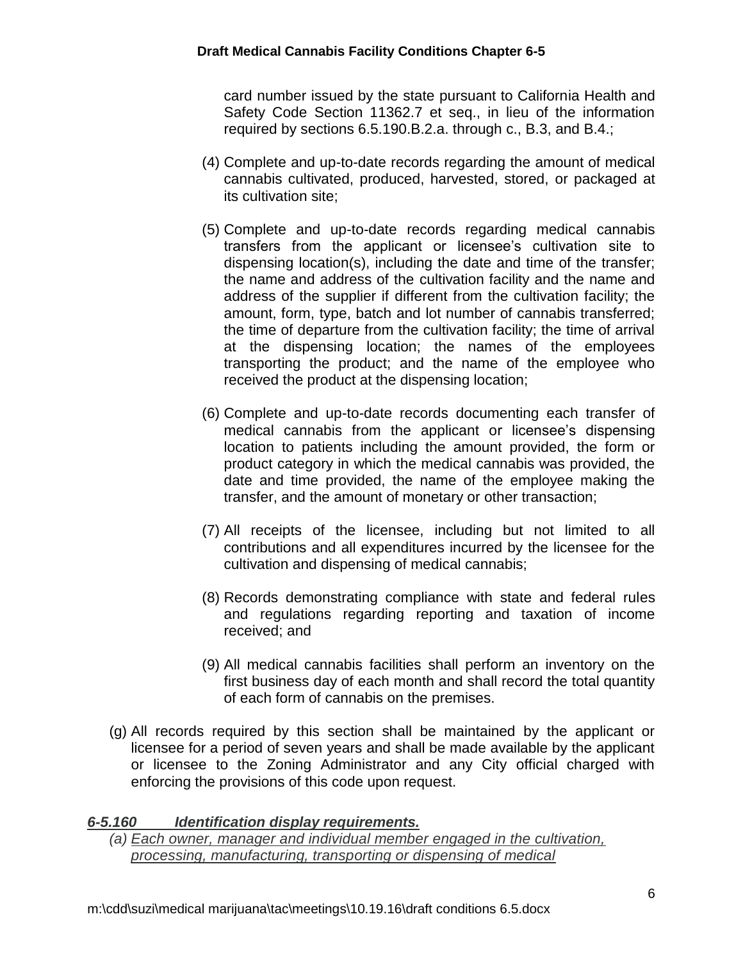card number issued by the state pursuant to California Health and Safety Code Section 11362.7 et seq., in lieu of the information required by sections 6.5.190.B.2.a. through c., B.3, and B.4.;

- (4) Complete and up-to-date records regarding the amount of medical cannabis cultivated, produced, harvested, stored, or packaged at its cultivation site;
- (5) Complete and up-to-date records regarding medical cannabis transfers from the applicant or licensee's cultivation site to dispensing location(s), including the date and time of the transfer; the name and address of the cultivation facility and the name and address of the supplier if different from the cultivation facility; the amount, form, type, batch and lot number of cannabis transferred; the time of departure from the cultivation facility; the time of arrival at the dispensing location; the names of the employees transporting the product; and the name of the employee who received the product at the dispensing location;
- (6) Complete and up-to-date records documenting each transfer of medical cannabis from the applicant or licensee's dispensing location to patients including the amount provided, the form or product category in which the medical cannabis was provided, the date and time provided, the name of the employee making the transfer, and the amount of monetary or other transaction;
- (7) All receipts of the licensee, including but not limited to all contributions and all expenditures incurred by the licensee for the cultivation and dispensing of medical cannabis;
- (8) Records demonstrating compliance with state and federal rules and regulations regarding reporting and taxation of income received; and
- (9) All medical cannabis facilities shall perform an inventory on the first business day of each month and shall record the total quantity of each form of cannabis on the premises.
- (g) All records required by this section shall be maintained by the applicant or licensee for a period of seven years and shall be made available by the applicant or licensee to the Zoning Administrator and any City official charged with enforcing the provisions of this code upon request.

## *6-5.160 Identification display requirements.*

*(a) Each owner, manager and individual member engaged in the cultivation, processing, manufacturing, transporting or dispensing of medical*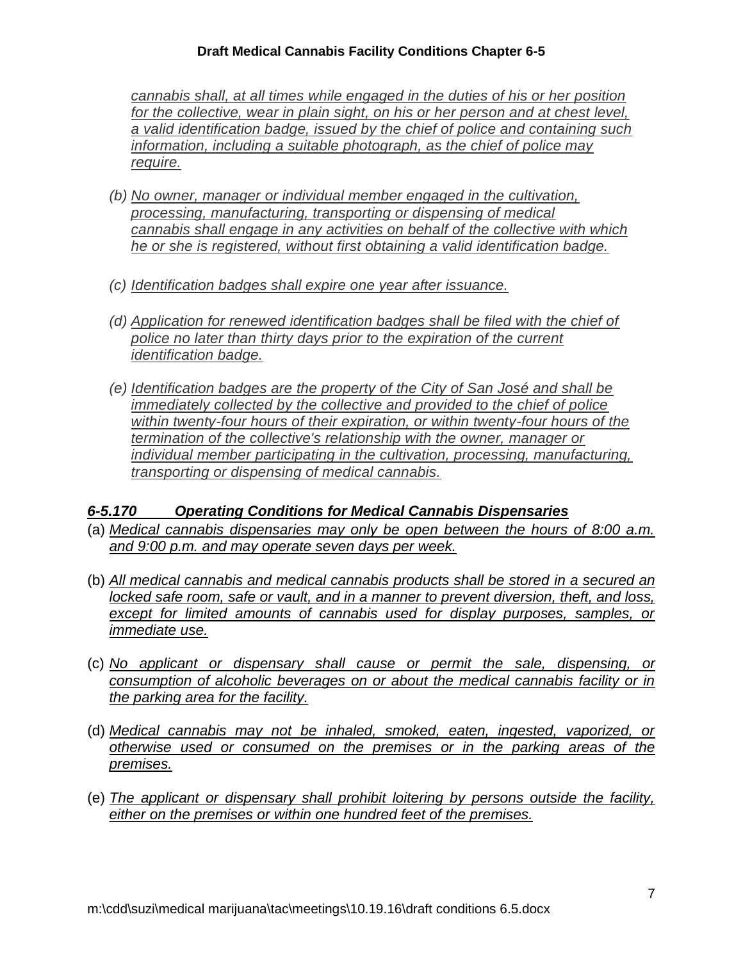## **Draft Medical Cannabis Facility Conditions Chapter 6-5**

*cannabis shall, at all times while engaged in the duties of his or her position*  for the collective, wear in plain sight, on his or her person and at chest level. *a valid identification badge, issued by the chief of police and containing such information, including a suitable photograph, as the chief of police may require.*

- *(b) No owner, manager or individual member engaged in the cultivation, processing, manufacturing, transporting or dispensing of medical cannabis shall engage in any activities on behalf of the collective with which he or she is registered, without first obtaining a valid identification badge.*
- *(c) Identification badges shall expire one year after issuance.*
- *(d) Application for renewed identification badges shall be filed with the chief of police no later than thirty days prior to the expiration of the current identification badge.*
- *(e) Identification badges are the property of the City of San José and shall be immediately collected by the collective and provided to the chief of police within twenty-four hours of their expiration, or within twenty-four hours of the termination of the collective's relationship with the owner, manager or individual member participating in the cultivation, processing, manufacturing, transporting or dispensing of medical cannabis.*

## *6-5.170 Operating Conditions for Medical Cannabis Dispensaries*

- (a) *Medical cannabis dispensaries may only be open between the hours of 8:00 a.m. and 9:00 p.m. and may operate seven days per week.*
- (b) *All medical cannabis and medical cannabis products shall be stored in a secured an locked safe room, safe or vault, and in a manner to prevent diversion, theft, and loss, except for limited amounts of cannabis used for display purposes, samples, or immediate use.*
- (c) *No applicant or dispensary shall cause or permit the sale, dispensing, or consumption of alcoholic beverages on or about the medical cannabis facility or in the parking area for the facility.*
- (d) *Medical cannabis may not be inhaled, smoked, eaten, ingested, vaporized, or otherwise used or consumed on the premises or in the parking areas of the premises.*
- (e) *The applicant or dispensary shall prohibit loitering by persons outside the facility, either on the premises or within one hundred feet of the premises.*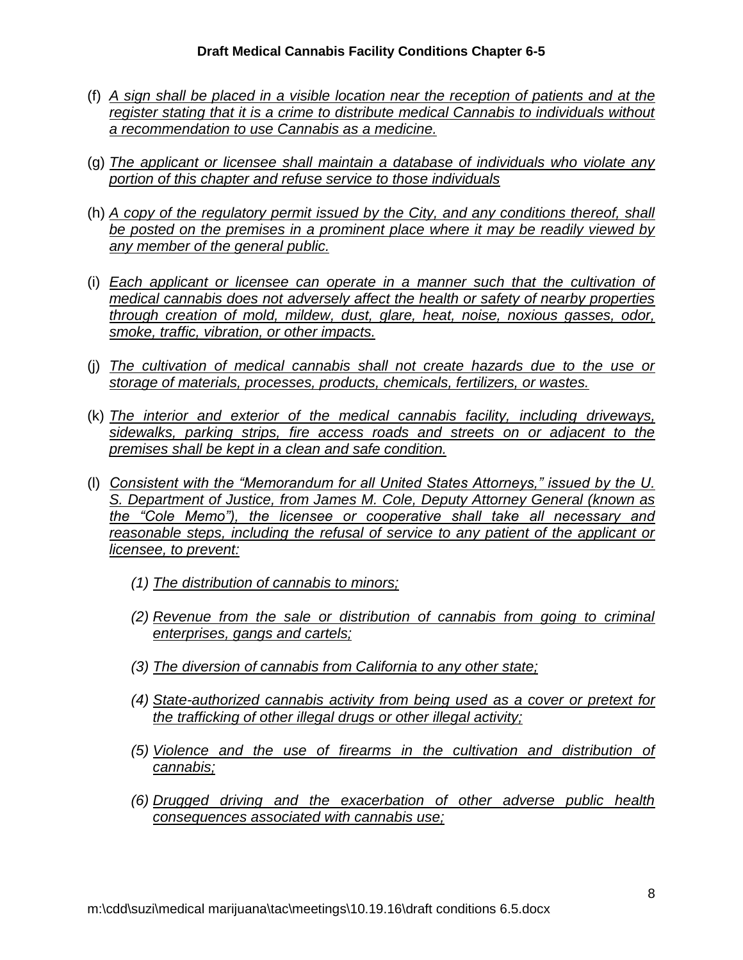- (f) *A sign shall be placed in a visible location near the reception of patients and at the register stating that it is a crime to distribute medical Cannabis to individuals without a recommendation to use Cannabis as a medicine.*
- (g) *The applicant or licensee shall maintain a database of individuals who violate any portion of this chapter and refuse service to those individuals*
- (h) *A copy of the regulatory permit issued by the City, and any conditions thereof, shall be posted on the premises in a prominent place where it may be readily viewed by any member of the general public.*
- (i) *Each applicant or licensee can operate in a manner such that the cultivation of medical cannabis does not adversely affect the health or safety of nearby properties through creation of mold, mildew, dust, glare, heat, noise, noxious gasses, odor, smoke, traffic, vibration, or other impacts.*
- (j) *The cultivation of medical cannabis shall not create hazards due to the use or storage of materials, processes, products, chemicals, fertilizers, or wastes.*
- (k) *The interior and exterior of the medical cannabis facility, including driveways, sidewalks, parking strips, fire access roads and streets on or adjacent to the premises shall be kept in a clean and safe condition.*
- (l) *Consistent with the "Memorandum for all United States Attorneys," issued by the U. S. Department of Justice, from James M. Cole, Deputy Attorney General (known as the "Cole Memo"), the licensee or cooperative shall take all necessary and reasonable steps, including the refusal of service to any patient of the applicant or licensee, to prevent:*
	- *(1) The distribution of cannabis to minors;*
	- *(2) Revenue from the sale or distribution of cannabis from going to criminal enterprises, gangs and cartels;*
	- *(3) The diversion of cannabis from California to any other state;*
	- *(4) State-authorized cannabis activity from being used as a cover or pretext for the trafficking of other illegal drugs or other illegal activity;*
	- *(5) Violence and the use of firearms in the cultivation and distribution of cannabis;*
	- *(6) Drugged driving and the exacerbation of other adverse public health consequences associated with cannabis use;*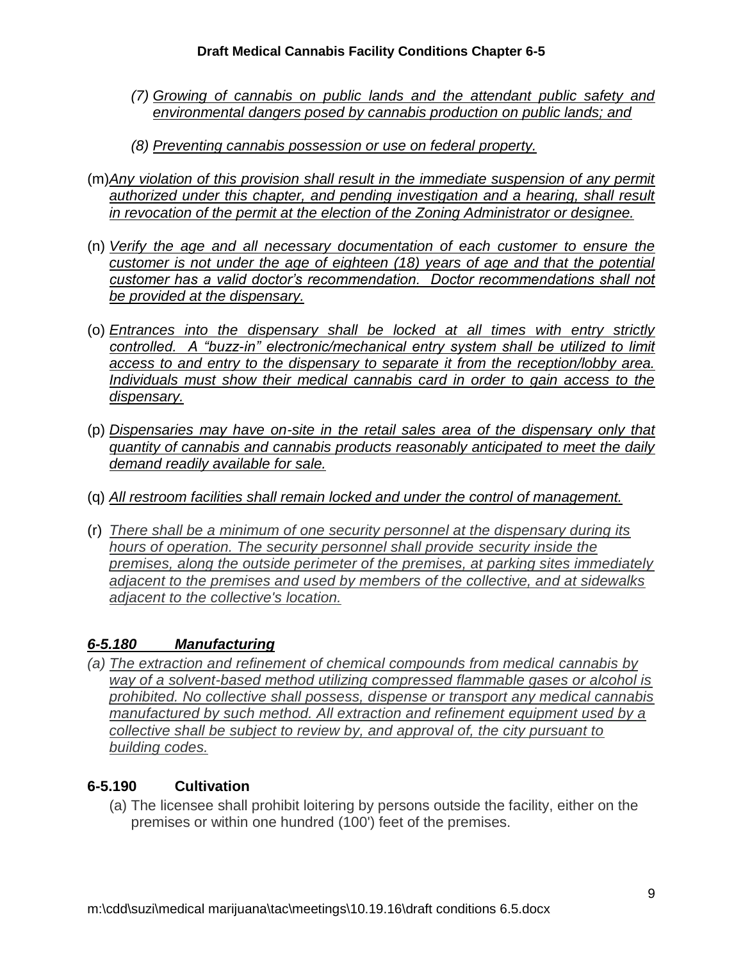- *(7) Growing of cannabis on public lands and the attendant public safety and environmental dangers posed by cannabis production on public lands; and*
- *(8) Preventing cannabis possession or use on federal property.*
- (m)*Any violation of this provision shall result in the immediate suspension of any permit*  authorized under this chapter, and pending investigation and a hearing, shall result *in revocation of the permit at the election of the Zoning Administrator or designee.*
- (n) *Verify the age and all necessary documentation of each customer to ensure the customer is not under the age of eighteen (18) years of age and that the potential customer has a valid doctor's recommendation. Doctor recommendations shall not be provided at the dispensary.*
- (o) *Entrances into the dispensary shall be locked at all times with entry strictly controlled. A "buzz-in" electronic/mechanical entry system shall be utilized to limit access to and entry to the dispensary to separate it from the reception/lobby area. Individuals must show their medical cannabis card in order to gain access to the dispensary.*
- (p) *Dispensaries may have on-site in the retail sales area of the dispensary only that quantity of cannabis and cannabis products reasonably anticipated to meet the daily demand readily available for sale.*
- (q) *All restroom facilities shall remain locked and under the control of management.*
- (r) *There shall be a minimum of one security personnel at the dispensary during its hours of operation. The security personnel shall provide security inside the premises, along the outside perimeter of the premises, at parking sites immediately adjacent to the premises and used by members of the collective, and at sidewalks adjacent to the collective's location.*

# *6-5.180 Manufacturing*

*(a) The extraction and refinement of chemical compounds from medical cannabis by way of a solvent-based method utilizing compressed flammable gases or alcohol is prohibited. No collective shall possess, dispense or transport any medical cannabis manufactured by such method. All extraction and refinement equipment used by a collective shall be subject to review by, and approval of, the city pursuant to building codes.*

# **6-5.190 Cultivation**

(a) The licensee shall prohibit loitering by persons outside the facility, either on the premises or within one hundred (100') feet of the premises.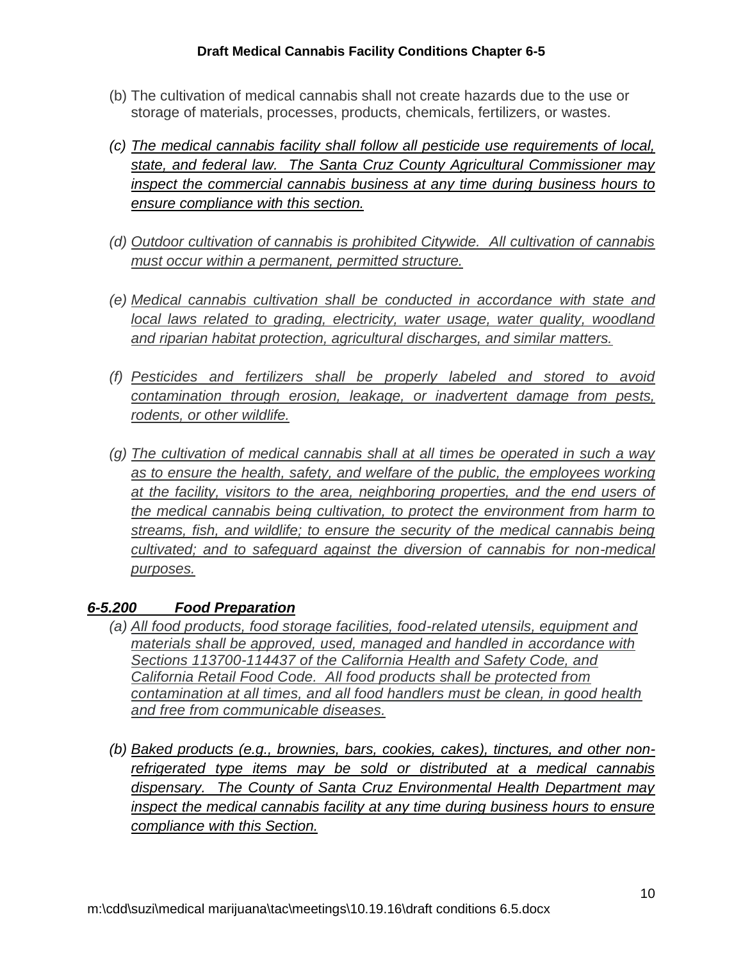- (b) The cultivation of medical cannabis shall not create hazards due to the use or storage of materials, processes, products, chemicals, fertilizers, or wastes.
- *(c) The medical cannabis facility shall follow all pesticide use requirements of local, state, and federal law. The Santa Cruz County Agricultural Commissioner may inspect the commercial cannabis business at any time during business hours to ensure compliance with this section.*
- *(d) Outdoor cultivation of cannabis is prohibited Citywide. All cultivation of cannabis must occur within a permanent, permitted structure.*
- *(e) Medical cannabis cultivation shall be conducted in accordance with state and local laws related to grading, electricity, water usage, water quality, woodland and riparian habitat protection, agricultural discharges, and similar matters.*
- *(f) Pesticides and fertilizers shall be properly labeled and stored to avoid contamination through erosion, leakage, or inadvertent damage from pests, rodents, or other wildlife.*
- *(g) The cultivation of medical cannabis shall at all times be operated in such a way*  as to ensure the health, safety, and welfare of the public, the employees working *at the facility, visitors to the area, neighboring properties, and the end users of the medical cannabis being cultivation, to protect the environment from harm to streams, fish, and wildlife; to ensure the security of the medical cannabis being cultivated; and to safeguard against the diversion of cannabis for non-medical purposes.*

# *6-5.200 Food Preparation*

- *(a) All food products, food storage facilities, food-related utensils, equipment and materials shall be approved, used, managed and handled in accordance with Sections 113700-114437 of the California Health and Safety Code, and California Retail Food Code. All food products shall be protected from contamination at all times, and all food handlers must be clean, in good health and free from communicable diseases.*
- *(b) Baked products (e.g., brownies, bars, cookies, cakes), tinctures, and other nonrefrigerated type items may be sold or distributed at a medical cannabis dispensary. The County of Santa Cruz Environmental Health Department may inspect the medical cannabis facility at any time during business hours to ensure compliance with this Section.*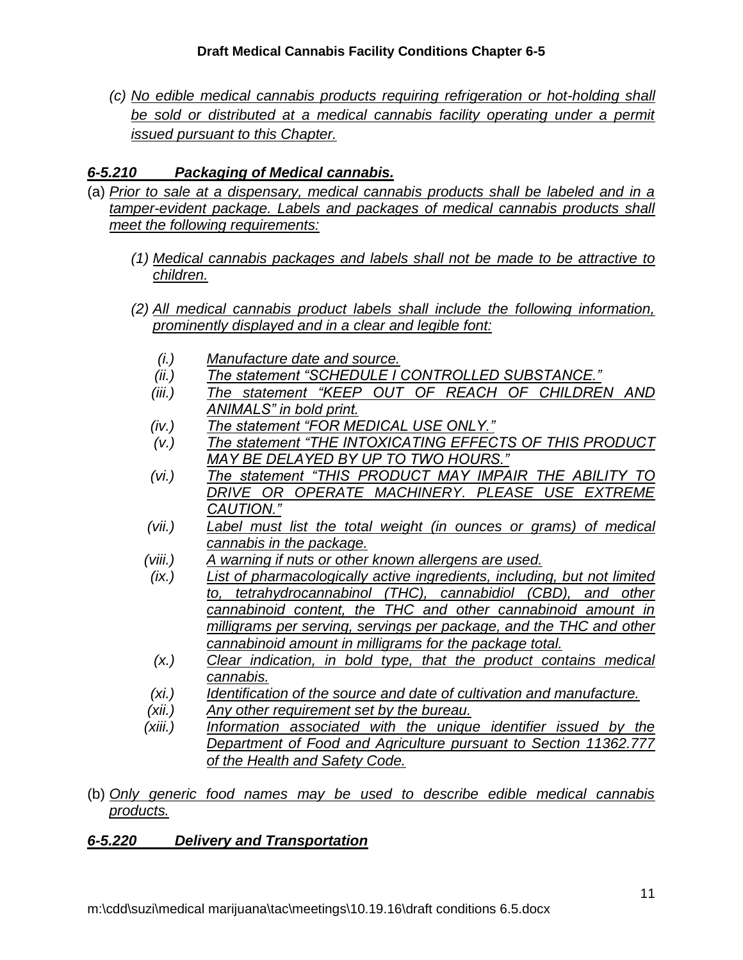*(c) No edible medical cannabis products requiring refrigeration or hot-holding shall*  be sold or distributed at a medical cannabis facility operating under a permit *issued pursuant to this Chapter.* 

# *6-5.210 Packaging of Medical cannabis.*

- (a) *Prior to sale at a dispensary, medical cannabis products shall be labeled and in a tamper-evident package. Labels and packages of medical cannabis products shall meet the following requirements:*
	- *(1) Medical cannabis packages and labels shall not be made to be attractive to children.*
	- *(2) All medical cannabis product labels shall include the following information, prominently displayed and in a clear and legible font:*
		- *(i.) Manufacture date and source.*
		- *(ii.) The statement "SCHEDULE I CONTROLLED SUBSTANCE."*
		- *(iii.) The statement "KEEP OUT OF REACH OF CHILDREN AND ANIMALS" in bold print.*
		- *(iv.) The statement "FOR MEDICAL USE ONLY."*
		- *(v.) The statement "THE INTOXICATING EFFECTS OF THIS PRODUCT MAY BE DELAYED BY UP TO TWO HOURS."*
		- *(vi.) The statement "THIS PRODUCT MAY IMPAIR THE ABILITY TO DRIVE OR OPERATE MACHINERY. PLEASE USE EXTREME CAUTION."*
		- *(vii.) Label must list the total weight (in ounces or grams) of medical cannabis in the package.*
		- *(viii.) A warning if nuts or other known allergens are used.*
		- *(ix.) List of pharmacologically active ingredients, including, but not limited to, tetrahydrocannabinol (THC), cannabidiol (CBD), and other cannabinoid content, the THC and other cannabinoid amount in milligrams per serving, servings per package, and the THC and other cannabinoid amount in milligrams for the package total.*
		- *(x.) Clear indication, in bold type, that the product contains medical cannabis.*
		- *(xi.) Identification of the source and date of cultivation and manufacture.*
		- *(xii.) Any other requirement set by the bureau.*
		- *(xiii.) Information associated with the unique identifier issued by the Department of Food and Agriculture pursuant to Section 11362.777 of the Health and Safety Code.*
- (b) *Only generic food names may be used to describe edible medical cannabis products.*

# *6-5.220 Delivery and Transportation*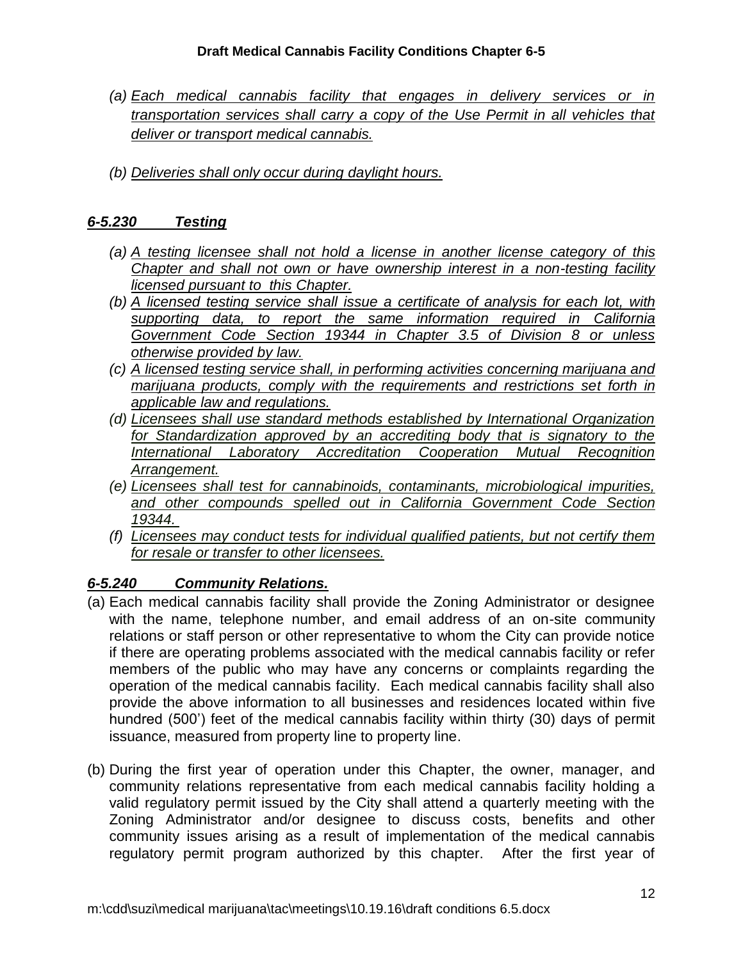- *(a) Each medical cannabis facility that engages in delivery services or in transportation services shall carry a copy of the Use Permit in all vehicles that deliver or transport medical cannabis.*
- *(b) Deliveries shall only occur during daylight hours.*

# *6-5.230 Testing*

- *(a) A testing licensee shall not hold a license in another license category of this Chapter and shall not own or have ownership interest in a non-testing facility licensed pursuant to this Chapter.*
- *(b) A licensed testing service shall issue a certificate of analysis for each lot, with supporting data, to report the same information required in California Government Code Section 19344 in Chapter 3.5 of Division 8 or unless otherwise provided by law.*
- *(c) A licensed testing service shall, in performing activities concerning marijuana and marijuana products, comply with the requirements and restrictions set forth in applicable law and regulations.*
- *(d) Licensees shall use standard methods established by International Organization for Standardization approved by an accrediting body that is signatory to the International Laboratory Accreditation Cooperation Mutual Recognition Arrangement.*
- *(e) Licensees shall test for cannabinoids, contaminants, microbiological impurities, and other compounds spelled out in California Government Code Section 19344.*
- *(f) Licensees may conduct tests for individual qualified patients, but not certify them for resale or transfer to other licensees.*

# *6-5.240 Community Relations.*

- (a) Each medical cannabis facility shall provide the Zoning Administrator or designee with the name, telephone number, and email address of an on-site community relations or staff person or other representative to whom the City can provide notice if there are operating problems associated with the medical cannabis facility or refer members of the public who may have any concerns or complaints regarding the operation of the medical cannabis facility. Each medical cannabis facility shall also provide the above information to all businesses and residences located within five hundred (500') feet of the medical cannabis facility within thirty (30) days of permit issuance, measured from property line to property line.
- (b) During the first year of operation under this Chapter, the owner, manager, and community relations representative from each medical cannabis facility holding a valid regulatory permit issued by the City shall attend a quarterly meeting with the Zoning Administrator and/or designee to discuss costs, benefits and other community issues arising as a result of implementation of the medical cannabis regulatory permit program authorized by this chapter. After the first year of